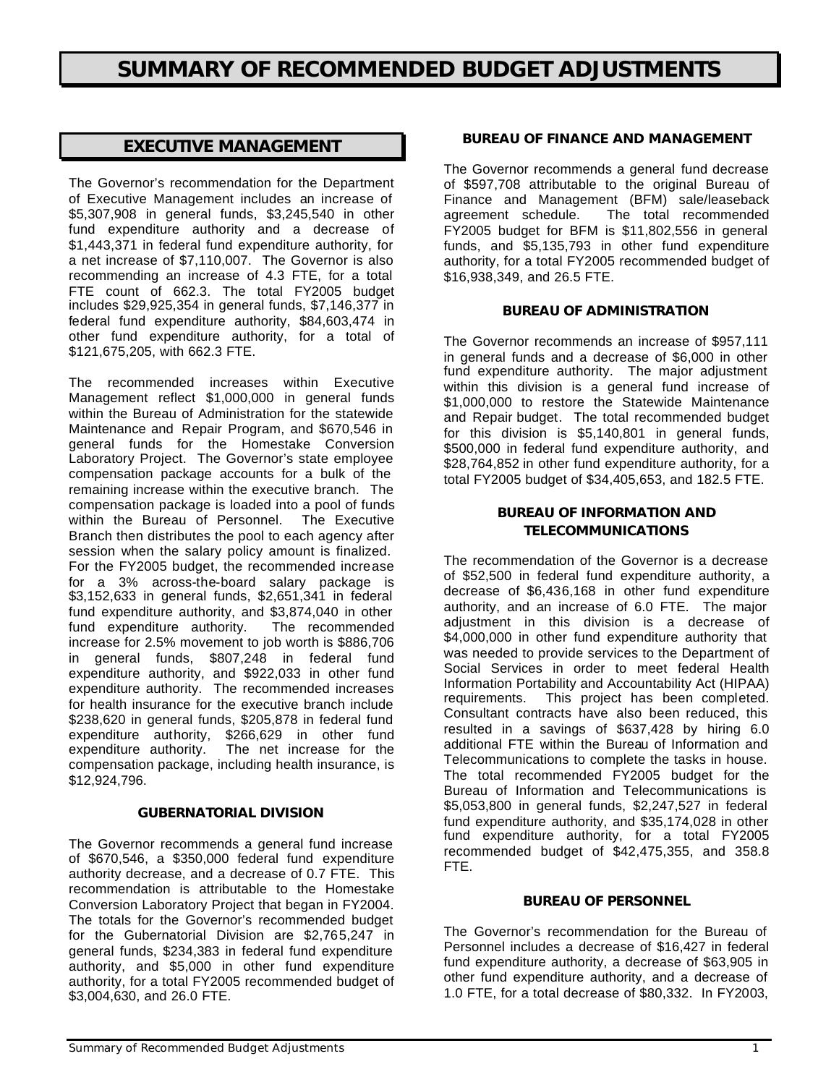# *EXECUTIVE MANAGEMENT*

The Governor's recommendation for the Department of Executive Management includes an increase of \$5,307,908 in general funds, \$3,245,540 in other fund expenditure authority and a decrease of \$1,443,371 in federal fund expenditure authority, for a net increase of \$7,110,007. The Governor is also recommending an increase of 4.3 FTE, for a total FTE count of 662.3. The total FY2005 budget includes \$29,925,354 in general funds, \$7,146,377 in federal fund expenditure authority, \$84,603,474 in other fund expenditure authority, for a total of \$121,675,205, with 662.3 FTE.

The recommended increases within Executive Management reflect \$1,000,000 in general funds within the Bureau of Administration for the statewide Maintenance and Repair Program, and \$670,546 in general funds for the Homestake Conversion Laboratory Project. The Governor's state employee compensation package accounts for a bulk of the remaining increase within the executive branch. The compensation package is loaded into a pool of funds within the Bureau of Personnel. The Executive Branch then distributes the pool to each agency after session when the salary policy amount is finalized. For the FY2005 budget, the recommended increase for a 3% across-the-board salary package is \$3,152,633 in general funds, \$2,651,341 in federal fund expenditure authority, and \$3,874,040 in other<br>fund expenditure authority. The recommended fund expenditure authority. increase for 2.5% movement to job worth is \$886,706 in general funds, \$807,248 in federal fund expenditure authority, and \$922,033 in other fund expenditure authority. The recommended increases for health insurance for the executive branch include \$238,620 in general funds, \$205,878 in federal fund expenditure authority, \$266,629 in other fund expenditure authority. The net increase for the compensation package, including health insurance, is \$12,924,796.

### *GUBERNATORIAL DIVISION*

The Governor recommends a general fund increase of \$670,546, a \$350,000 federal fund expenditure authority decrease, and a decrease of 0.7 FTE. This recommendation is attributable to the Homestake Conversion Laboratory Project that began in FY2004. The totals for the Governor's recommended budget for the Gubernatorial Division are \$2,765,247 in general funds, \$234,383 in federal fund expenditure authority, and \$5,000 in other fund expenditure authority, for a total FY2005 recommended budget of \$3,004,630, and 26.0 FTE.

### *BUREAU OF FINANCE AND MANAGEMENT*

The Governor recommends a general fund decrease of \$597,708 attributable to the original Bureau of Finance and Management (BFM) sale/leaseback agreement schedule. The total recommended FY2005 budget for BFM is \$11,802,556 in general funds, and \$5,135,793 in other fund expenditure authority, for a total FY2005 recommended budget of \$16,938,349, and 26.5 FTE.

### *BUREAU OF ADMINISTRATION*

The Governor recommends an increase of \$957,111 in general funds and a decrease of \$6,000 in other fund expenditure authority. The major adjustment within this division is a general fund increase of \$1,000,000 to restore the Statewide Maintenance and Repair budget. The total recommended budget for this division is \$5,140,801 in general funds, \$500,000 in federal fund expenditure authority, and \$28,764,852 in other fund expenditure authority, for a total FY2005 budget of \$34,405,653, and 182.5 FTE.

### *BUREAU OF INFORMATION AND TELECOMMUNICATIONS*

The recommendation of the Governor is a decrease of \$52,500 in federal fund expenditure authority, a decrease of \$6,436,168 in other fund expenditure authority, and an increase of 6.0 FTE. The major adjustment in this division is a decrease of \$4,000,000 in other fund expenditure authority that was needed to provide services to the Department of Social Services in order to meet federal Health Information Portability and Accountability Act (HIPAA) requirements. This project has been completed. Consultant contracts have also been reduced, this resulted in a savings of \$637,428 by hiring 6.0 additional FTE within the Bureau of Information and Telecommunications to complete the tasks in house. The total recommended FY2005 budget for the Bureau of Information and Telecommunications is \$5,053,800 in general funds, \$2,247,527 in federal fund expenditure authority, and \$35,174,028 in other fund expenditure authority, for a total FY2005 recommended budget of \$42,475,355, and 358.8 FTE.

### *BUREAU OF PERSONNEL*

The Governor's recommendation for the Bureau of Personnel includes a decrease of \$16,427 in federal fund expenditure authority, a decrease of \$63,905 in other fund expenditure authority, and a decrease of 1.0 FTE, for a total decrease of \$80,332. In FY2003,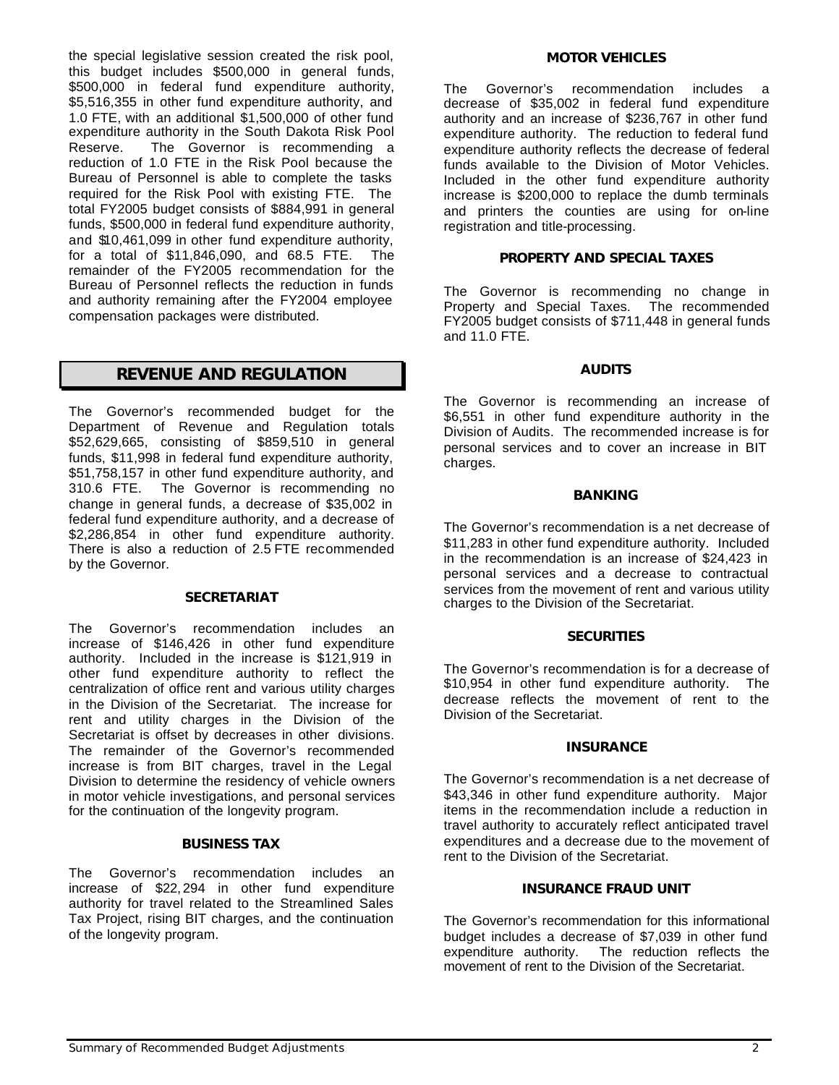the special legislative session created the risk pool, this budget includes \$500,000 in general funds, \$500,000 in federal fund expenditure authority, \$5,516,355 in other fund expenditure authority, and 1.0 FTE, with an additional \$1,500,000 of other fund expenditure authority in the South Dakota Risk Pool Reserve. The Governor is recommending a reduction of 1.0 FTE in the Risk Pool because the Bureau of Personnel is able to complete the tasks required for the Risk Pool with existing FTE. The total FY2005 budget consists of \$884,991 in general funds, \$500,000 in federal fund expenditure authority, and \$10,461,099 in other fund expenditure authority, for a total of \$11,846,090, and 68.5 FTE. The remainder of the FY2005 recommendation for the Bureau of Personnel reflects the reduction in funds and authority remaining after the FY2004 employee compensation packages were distributed.

### *REVENUE AND REGULATION*

The Governor's recommended budget for the Department of Revenue and Regulation totals \$52,629,665, consisting of \$859,510 in general funds, \$11,998 in federal fund expenditure authority, \$51,758,157 in other fund expenditure authority, and 310.6 FTE. The Governor is recommending no change in general funds, a decrease of \$35,002 in federal fund expenditure authority, and a decrease of \$2,286,854 in other fund expenditure authority. There is also a reduction of 2.5 FTE recommended by the Governor.

### *SECRETARIAT*

The Governor's recommendation includes an increase of \$146,426 in other fund expenditure authority. Included in the increase is \$121,919 in other fund expenditure authority to reflect the centralization of office rent and various utility charges in the Division of the Secretariat. The increase for rent and utility charges in the Division of the Secretariat is offset by decreases in other divisions. The remainder of the Governor's recommended increase is from BIT charges, travel in the Legal Division to determine the residency of vehicle owners in motor vehicle investigations, and personal services for the continuation of the longevity program.

### *BUSINESS TAX*

The Governor's recommendation includes an increase of \$22, 294 in other fund expenditure authority for travel related to the Streamlined Sales Tax Project, rising BIT charges, and the continuation of the longevity program.

#### *MOTOR VEHICLES*

The Governor's recommendation includes a decrease of \$35,002 in federal fund expenditure authority and an increase of \$236,767 in other fund expenditure authority. The reduction to federal fund expenditure authority reflects the decrease of federal funds available to the Division of Motor Vehicles. Included in the other fund expenditure authority increase is \$200,000 to replace the dumb terminals and printers the counties are using for on-line registration and title-processing.

### *PROPERTY AND SPECIAL TAXES*

The Governor is recommending no change in Property and Special Taxes. The recommended FY2005 budget consists of \$711,448 in general funds and 11.0 FTE.

#### *AUDITS*

The Governor is recommending an increase of \$6,551 in other fund expenditure authority in the Division of Audits. The recommended increase is for personal services and to cover an increase in BIT charges.

#### *BANKING*

The Governor's recommendation is a net decrease of \$11,283 in other fund expenditure authority. Included in the recommendation is an increase of \$24,423 in personal services and a decrease to contractual services from the movement of rent and various utility charges to the Division of the Secretariat.

#### *SECURITIES*

The Governor's recommendation is for a decrease of \$10,954 in other fund expenditure authority. The decrease reflects the movement of rent to the Division of the Secretariat.

#### *INSURANCE*

The Governor's recommendation is a net decrease of \$43,346 in other fund expenditure authority. Major items in the recommendation include a reduction in travel authority to accurately reflect anticipated travel expenditures and a decrease due to the movement of rent to the Division of the Secretariat.

### *INSURANCE FRAUD UNIT*

The Governor's recommendation for this informational budget includes a decrease of \$7,039 in other fund expenditure authority. The reduction reflects the movement of rent to the Division of the Secretariat.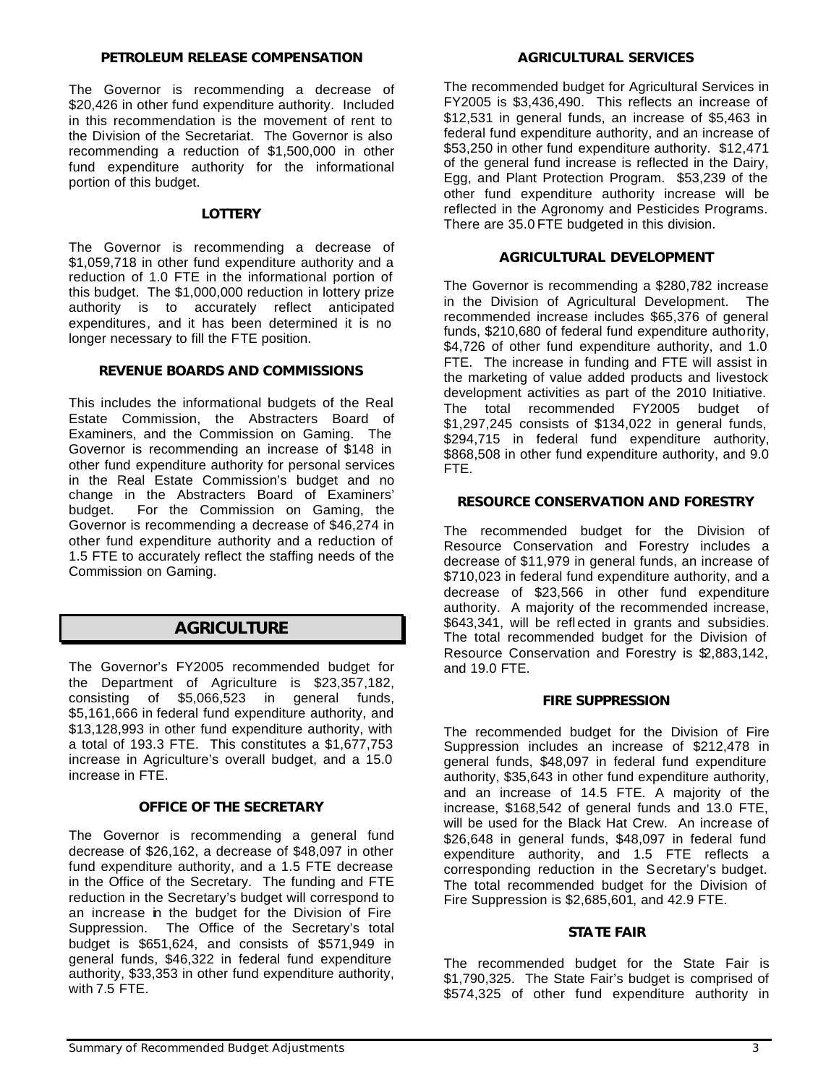### *PETROLEUM RELEASE COMPENSATION*

The Governor is recommending a decrease of \$20,426 in other fund expenditure authority. Included in this recommendation is the movement of rent to the Division of the Secretariat. The Governor is also recommending a reduction of \$1,500,000 in other fund expenditure authority for the informational portion of this budget.

### *LOTTERY*

The Governor is recommending a decrease of \$1,059,718 in other fund expenditure authority and a reduction of 1.0 FTE in the informational portion of this budget. The \$1,000,000 reduction in lottery prize authority is to accurately reflect anticipated expenditures, and it has been determined it is no longer necessary to fill the FTE position.

### *REVENUE BOARDS AND COMMISSIONS*

This includes the informational budgets of the Real Estate Commission, the Abstracters Board of Examiners, and the Commission on Gaming. The Governor is recommending an increase of \$148 in other fund expenditure authority for personal services in the Real Estate Commission's budget and no change in the Abstracters Board of Examiners' budget. For the Commission on Gaming, the Governor is recommending a decrease of \$46,274 in other fund expenditure authority and a reduction of 1.5 FTE to accurately reflect the staffing needs of the Commission on Gaming.

# *AGRICULTURE*

The Governor's FY2005 recommended budget for the Department of Agriculture is \$23,357,182, consisting of \$5,066,523 in general funds, \$5,161,666 in federal fund expenditure authority, and \$13,128,993 in other fund expenditure authority, with a total of 193.3 FTE. This constitutes a \$1,677,753 increase in Agriculture's overall budget, and a 15.0 increase in FTE.

### *OFFICE OF THE SECRETARY*

The Governor is recommending a general fund decrease of \$26,162, a decrease of \$48,097 in other fund expenditure authority, and a 1.5 FTE decrease in the Office of the Secretary. The funding and FTE reduction in the Secretary's budget will correspond to an increase in the budget for the Division of Fire Suppression. The Office of the Secretary's total budget is \$651,624, and consists of \$571,949 in general funds, \$46,322 in federal fund expenditure authority, \$33,353 in other fund expenditure authority, with 7.5 FTE.

### *AGRICULTURAL SERVICES*

The recommended budget for Agricultural Services in FY2005 is \$3,436,490. This reflects an increase of \$12,531 in general funds, an increase of \$5,463 in federal fund expenditure authority, and an increase of \$53,250 in other fund expenditure authority. \$12,471 of the general fund increase is reflected in the Dairy, Egg, and Plant Protection Program. \$53,239 of the other fund expenditure authority increase will be reflected in the Agronomy and Pesticides Programs. There are 35.0 FTE budgeted in this division.

### *AGRICULTURAL DEVELOPMENT*

The Governor is recommending a \$280,782 increase in the Division of Agricultural Development. The recommended increase includes \$65,376 of general funds, \$210,680 of federal fund expenditure authority, \$4,726 of other fund expenditure authority, and 1.0 FTE. The increase in funding and FTE will assist in the marketing of value added products and livestock development activities as part of the 2010 Initiative. The total recommended FY2005 budget of \$1,297,245 consists of \$134,022 in general funds, \$294,715 in federal fund expenditure authority, \$868,508 in other fund expenditure authority, and 9.0 FTE.

### *RESOURCE CONSERVATION AND FORESTRY*

The recommended budget for the Division of Resource Conservation and Forestry includes a decrease of \$11,979 in general funds, an increase of \$710,023 in federal fund expenditure authority, and a decrease of \$23,566 in other fund expenditure authority. A majority of the recommended increase, \$643,341, will be refl ected in grants and subsidies. The total recommended budget for the Division of Resource Conservation and Forestry is \$2,883,142, and 19.0 FTE.

### *FIRE SUPPRESSION*

The recommended budget for the Division of Fire Suppression includes an increase of \$212,478 in general funds, \$48,097 in federal fund expenditure authority, \$35,643 in other fund expenditure authority, and an increase of 14.5 FTE. A majority of the increase, \$168,542 of general funds and 13.0 FTE, will be used for the Black Hat Crew. An increase of \$26,648 in general funds, \$48,097 in federal fund expenditure authority, and 1.5 FTE reflects a corresponding reduction in the Secretary's budget. The total recommended budget for the Division of Fire Suppression is \$2,685,601, and 42.9 FTE.

### *STATE FAIR*

The recommended budget for the State Fair is \$1,790,325. The State Fair's budget is comprised of \$574,325 of other fund expenditure authority in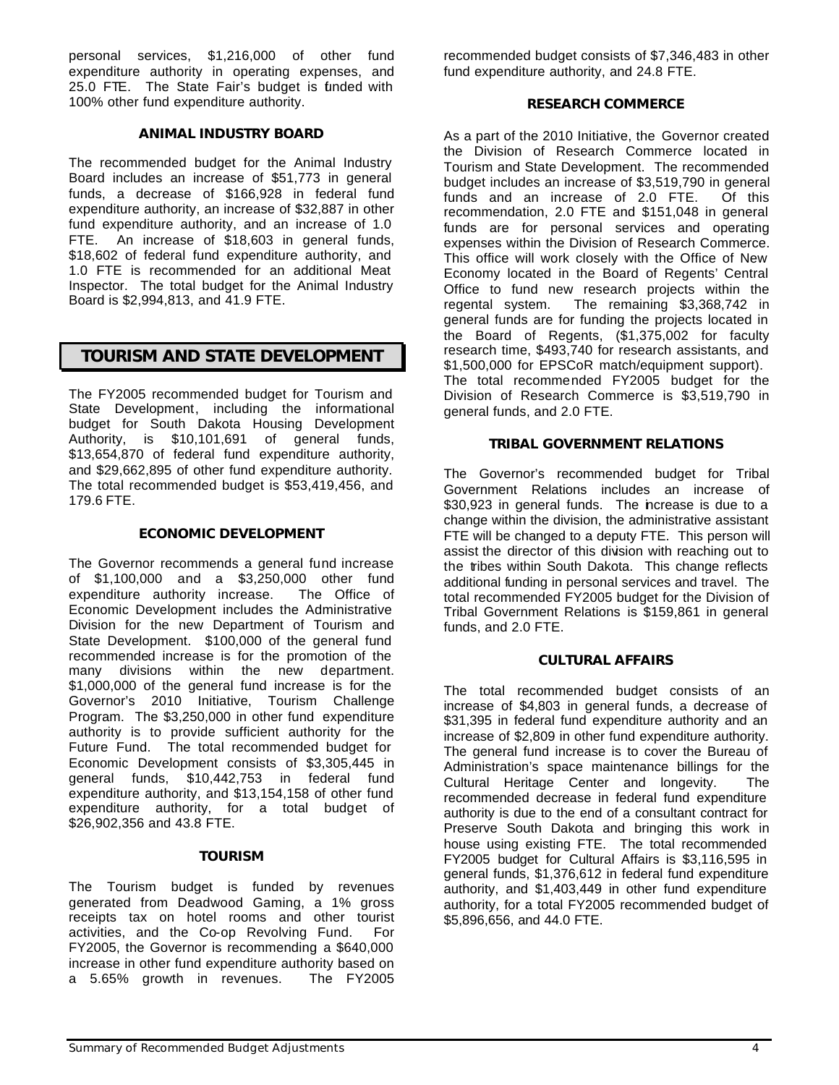personal services, \$1,216,000 of other fund expenditure authority in operating expenses, and 25.0 FTE. The State Fair's budget is funded with 100% other fund expenditure authority.

### *ANIMAL INDUSTRY BOARD*

The recommended budget for the Animal Industry Board includes an increase of \$51,773 in general funds, a decrease of \$166,928 in federal fund expenditure authority, an increase of \$32,887 in other fund expenditure authority, and an increase of 1.0 FTE. An increase of \$18,603 in general funds, \$18,602 of federal fund expenditure authority, and 1.0 FTE is recommended for an additional Meat Inspector. The total budget for the Animal Industry Board is \$2,994,813, and 41.9 FTE.

# *TOURISM AND STATE DEVELOPMENT*

The FY2005 recommended budget for Tourism and State Development, including the informational budget for South Dakota Housing Development Authority, is \$10,101,691 of general funds, \$13,654,870 of federal fund expenditure authority, and \$29,662,895 of other fund expenditure authority. The total recommended budget is \$53,419,456, and 179.6 FTE.

### *ECONOMIC DEVELOPMENT*

The Governor recommends a general fund increase of \$1,100,000 and a \$3,250,000 other fund expenditure authority increase. The Office of Economic Development includes the Administrative Division for the new Department of Tourism and State Development. \$100,000 of the general fund recommended increase is for the promotion of the many divisions within the new department. \$1,000,000 of the general fund increase is for the Governor's 2010 Initiative, Tourism Challenge Program. The \$3,250,000 in other fund expenditure authority is to provide sufficient authority for the Future Fund. The total recommended budget for Economic Development consists of \$3,305,445 in general funds, \$10,442,753 in federal fund expenditure authority, and \$13,154,158 of other fund expenditure authority, for a total budget of \$26,902,356 and 43.8 FTE.

### *TOURISM*

The Tourism budget is funded by revenues generated from Deadwood Gaming, a 1% gross receipts tax on hotel rooms and other tourist activities, and the Co-op Revolving Fund. For FY2005, the Governor is recommending a \$640,000 increase in other fund expenditure authority based on a 5.65% growth in revenues. The FY2005

recommended budget consists of \$7,346,483 in other fund expenditure authority, and 24.8 FTE.

### *RESEARCH COMMERCE*

As a part of the 2010 Initiative, the Governor created the Division of Research Commerce located in Tourism and State Development. The recommended budget includes an increase of \$3,519,790 in general funds and an increase of 2.0 FTE. Of this recommendation, 2.0 FTE and \$151,048 in general funds are for personal services and operating expenses within the Division of Research Commerce. This office will work closely with the Office of New Economy located in the Board of Regents' Central Office to fund new research projects within the regental system. The remaining \$3,368,742 in general funds are for funding the projects located in the Board of Regents, (\$1,375,002 for faculty research time, \$493,740 for research assistants, and \$1,500,000 for EPSCoR match/equipment support). The total recommended FY2005 budget for the Division of Research Commerce is \$3,519,790 in general funds, and 2.0 FTE.

### *TRIBAL GOVERNMENT RELATIONS*

The Governor's recommended budget for Tribal Government Relations includes an increase of \$30,923 in general funds. The increase is due to a change within the division, the administrative assistant FTE will be changed to a deputy FTE. This person will assist the director of this division with reaching out to the tribes within South Dakota. This change reflects additional funding in personal services and travel. The total recommended FY2005 budget for the Division of Tribal Government Relations is \$159,861 in general funds, and 2.0 FTE.

### *CULTURAL AFFAIRS*

The total recommended budget consists of an increase of \$4,803 in general funds, a decrease of \$31,395 in federal fund expenditure authority and an increase of \$2,809 in other fund expenditure authority. The general fund increase is to cover the Bureau of Administration's space maintenance billings for the Cultural Heritage Center and longevity. The recommended decrease in federal fund expenditure authority is due to the end of a consultant contract for Preserve South Dakota and bringing this work in house using existing FTE. The total recommended FY2005 budget for Cultural Affairs is \$3,116,595 in general funds, \$1,376,612 in federal fund expenditure authority, and \$1,403,449 in other fund expenditure authority, for a total FY2005 recommended budget of \$5,896,656, and 44.0 FTE.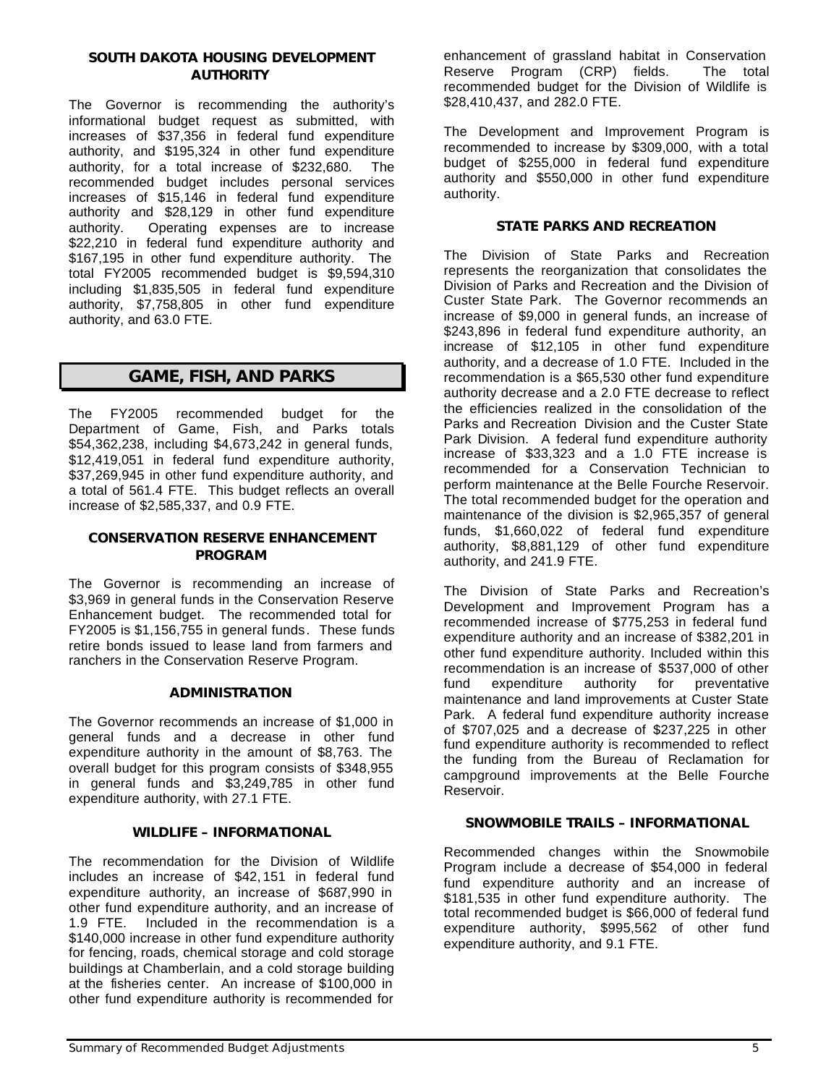### *SOUTH DAKOTA HOUSING DEVELOPMENT AUTHORITY*

The Governor is recommending the authority's informational budget request as submitted, with increases of \$37,356 in federal fund expenditure authority, and \$195,324 in other fund expenditure authority, for a total increase of \$232,680. The recommended budget includes personal services increases of \$15,146 in federal fund expenditure authority and \$28,129 in other fund expenditure authority. Operating expenses are to increase \$22,210 in federal fund expenditure authority and \$167,195 in other fund expenditure authority. The total FY2005 recommended budget is \$9,594,310 including \$1,835,505 in federal fund expenditure authority, \$7,758,805 in other fund expenditure authority, and 63.0 FTE.

# *GAME, FISH, AND PARKS*

The FY2005 recommended budget for the Department of Game, Fish, and Parks totals \$54,362,238, including \$4,673,242 in general funds, \$12,419,051 in federal fund expenditure authority, \$37,269,945 in other fund expenditure authority, and a total of 561.4 FTE. This budget reflects an overall increase of \$2,585,337, and 0.9 FTE.

### *CONSERVATION RESERVE ENHANCEMENT PROGRAM*

The Governor is recommending an increase of \$3,969 in general funds in the Conservation Reserve Enhancement budget. The recommended total for FY2005 is \$1,156,755 in general funds. These funds retire bonds issued to lease land from farmers and ranchers in the Conservation Reserve Program.

### *ADMINISTRATION*

The Governor recommends an increase of \$1,000 in general funds and a decrease in other fund expenditure authority in the amount of \$8,763. The overall budget for this program consists of \$348,955 in general funds and \$3,249,785 in other fund expenditure authority, with 27.1 FTE.

### *WILDLIFE – INFORMATIONAL*

The recommendation for the Division of Wildlife includes an increase of \$42, 151 in federal fund expenditure authority, an increase of \$687,990 in other fund expenditure authority, and an increase of 1.9 FTE. Included in the recommendation is a \$140,000 increase in other fund expenditure authority for fencing, roads, chemical storage and cold storage buildings at Chamberlain, and a cold storage building at the fisheries center. An increase of \$100,000 in other fund expenditure authority is recommended for

enhancement of grassland habitat in Conservation Reserve Program (CRP) fields. The total recommended budget for the Division of Wildlife is \$28,410,437, and 282.0 FTE.

The Development and Improvement Program is recommended to increase by \$309,000, with a total budget of \$255,000 in federal fund expenditure authority and \$550,000 in other fund expenditure authority.

### *STATE PARKS AND RECREATION*

The Division of State Parks and Recreation represents the reorganization that consolidates the Division of Parks and Recreation and the Division of Custer State Park. The Governor recommends an increase of \$9,000 in general funds, an increase of \$243,896 in federal fund expenditure authority, an increase of \$12,105 in other fund expenditure authority, and a decrease of 1.0 FTE. Included in the recommendation is a \$65,530 other fund expenditure authority decrease and a 2.0 FTE decrease to reflect the efficiencies realized in the consolidation of the Parks and Recreation Division and the Custer State Park Division. A federal fund expenditure authority increase of \$33,323 and a 1.0 FTE increase is recommended for a Conservation Technician to perform maintenance at the Belle Fourche Reservoir. The total recommended budget for the operation and maintenance of the division is \$2,965,357 of general funds, \$1,660,022 of federal fund expenditure authority, \$8,881,129 of other fund expenditure authority, and 241.9 FTE.

The Division of State Parks and Recreation's Development and Improvement Program has a recommended increase of \$775,253 in federal fund expenditure authority and an increase of \$382,201 in other fund expenditure authority. Included within this recommendation is an increase of \$537,000 of other fund expenditure authority for preventative maintenance and land improvements at Custer State Park. A federal fund expenditure authority increase of \$707,025 and a decrease of \$237,225 in other fund expenditure authority is recommended to reflect the funding from the Bureau of Reclamation for campground improvements at the Belle Fourche Reservoir.

### *SNOWMOBILE TRAILS – INFORMATIONAL*

Recommended changes within the Snowmobile Program include a decrease of \$54,000 in federal fund expenditure authority and an increase of \$181,535 in other fund expenditure authority. The total recommended budget is \$66,000 of federal fund expenditure authority, \$995,562 of other fund expenditure authority, and 9.1 FTE.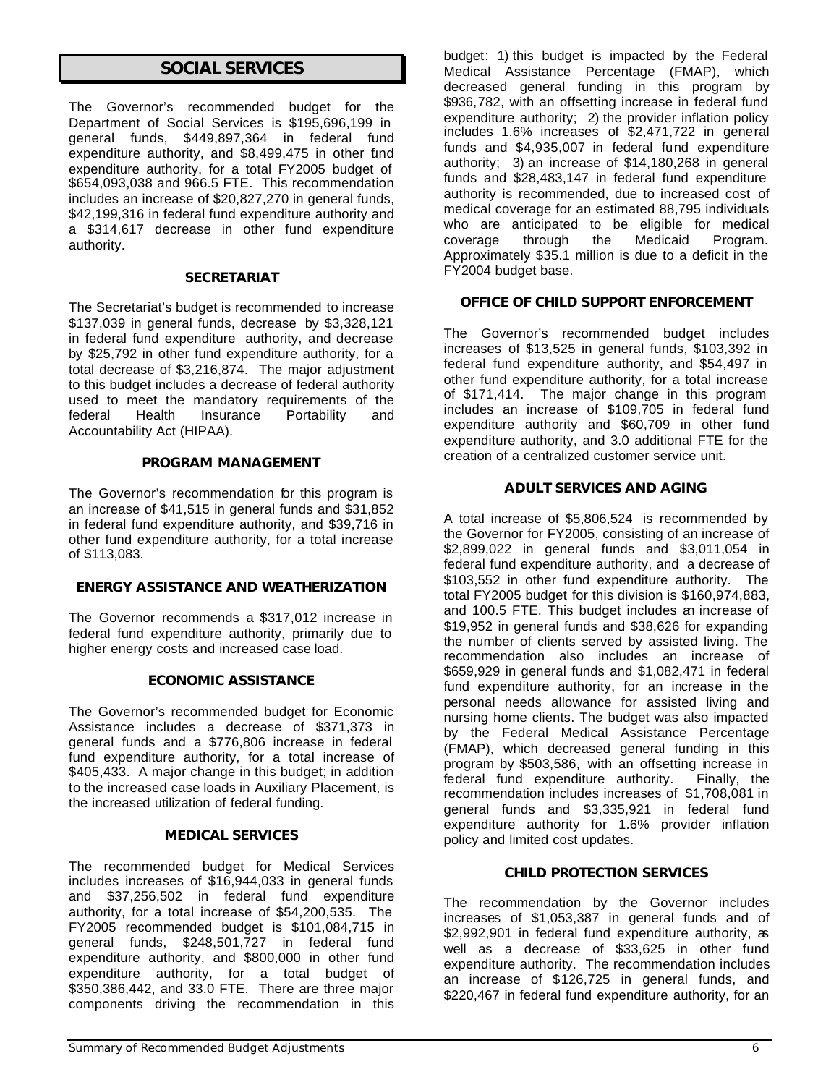# *SOCIAL SERVICES*

The Governor's recommended budget for the Department of Social Services is \$195,696,199 in general funds, \$449,897,364 in federal fund expenditure authority, and \$8,499,475 in other fund expenditure authority, for a total FY2005 budget of \$654,093,038 and 966.5 FTE. This recommendation includes an increase of \$20,827,270 in general funds, \$42,199,316 in federal fund expenditure authority and a \$314,617 decrease in other fund expenditure authority.

### *SECRETARIAT*

The Secretariat's budget is recommended to increase \$137,039 in general funds, decrease by \$3,328,121 in federal fund expenditure authority, and decrease by \$25,792 in other fund expenditure authority, for a total decrease of \$3,216,874. The major adjustment to this budget includes a decrease of federal authority used to meet the mandatory requirements of the federal Health Insurance Portability and Accountability Act (HIPAA).

### *PROGRAM MANAGEMENT*

The Governor's recommendation for this program is an increase of \$41,515 in general funds and \$31,852 in federal fund expenditure authority, and \$39,716 in other fund expenditure authority, for a total increase of \$113,083.

### *ENERGY ASSISTANCE AND WEATHERIZATION*

The Governor recommends a \$317,012 increase in federal fund expenditure authority, primarily due to higher energy costs and increased case load.

### *ECONOMIC ASSISTANCE*

The Governor's recommended budget for Economic Assistance includes a decrease of \$371,373 in general funds and a \$776,806 increase in federal fund expenditure authority, for a total increase of \$405,433. A major change in this budget; in addition to the increased case loads in Auxiliary Placement, is the increased utilization of federal funding.

### *MEDICAL SERVICES*

The recommended budget for Medical Services includes increases of \$16,944,033 in general funds and \$37,256,502 in federal fund expenditure authority, for a total increase of \$54,200,535. The FY2005 recommended budget is \$101,084,715 in general funds, \$248,501,727 in federal fund expenditure authority, and \$800,000 in other fund expenditure authority, for a total budget of \$350,386,442, and 33.0 FTE. There are three major components driving the recommendation in this

budget: 1) this budget is impacted by the Federal Medical Assistance Percentage (FMAP), which decreased general funding in this program by \$936,782, with an offsetting increase in federal fund expenditure authority; 2) the provider inflation policy includes 1.6% increases of \$2,471,722 in general funds and \$4,935,007 in federal fund expenditure authority; 3) an increase of \$14,180,268 in general funds and \$28,483,147 in federal fund expenditure authority is recommended, due to increased cost of medical coverage for an estimated 88,795 individuals who are anticipated to be eligible for medical coverage through the Medicaid Program. Approximately \$35.1 million is due to a deficit in the FY2004 budget base.

### *OFFICE OF CHILD SUPPORT ENFORCEMENT*

The Governor's recommended budget includes increases of \$13,525 in general funds, \$103,392 in federal fund expenditure authority, and \$54,497 in other fund expenditure authority, for a total increase of \$171,414. The major change in this program includes an increase of \$109,705 in federal fund expenditure authority and \$60,709 in other fund expenditure authority, and 3.0 additional FTE for the creation of a centralized customer service unit.

### *ADULT SERVICES AND AGING*

A total increase of \$5,806,524 is recommended by the Governor for FY2005, consisting of an increase of \$2,899,022 in general funds and \$3,011,054 in federal fund expenditure authority, and a decrease of \$103,552 in other fund expenditure authority. The total FY2005 budget for this division is \$160,974,883, and 100.5 FTE. This budget includes an increase of \$19,952 in general funds and \$38,626 for expanding the number of clients served by assisted living. The recommendation also includes an increase of \$659,929 in general funds and \$1,082,471 in federal fund expenditure authority, for an increase in the personal needs allowance for assisted living and nursing home clients. The budget was also impacted by the Federal Medical Assistance Percentage (FMAP), which decreased general funding in this program by \$503,586, with an offsetting increase in federal fund expenditure authority. Finally, the recommendation includes increases of \$1,708,081 in general funds and \$3,335,921 in federal fund expenditure authority for 1.6% provider inflation policy and limited cost updates.

### *CHILD PROTECTION SERVICES*

The recommendation by the Governor includes increases of \$1,053,387 in general funds and of \$2,992,901 in federal fund expenditure authority, as well as a decrease of \$33,625 in other fund expenditure authority. The recommendation includes an increase of \$126,725 in general funds, and \$220,467 in federal fund expenditure authority, for an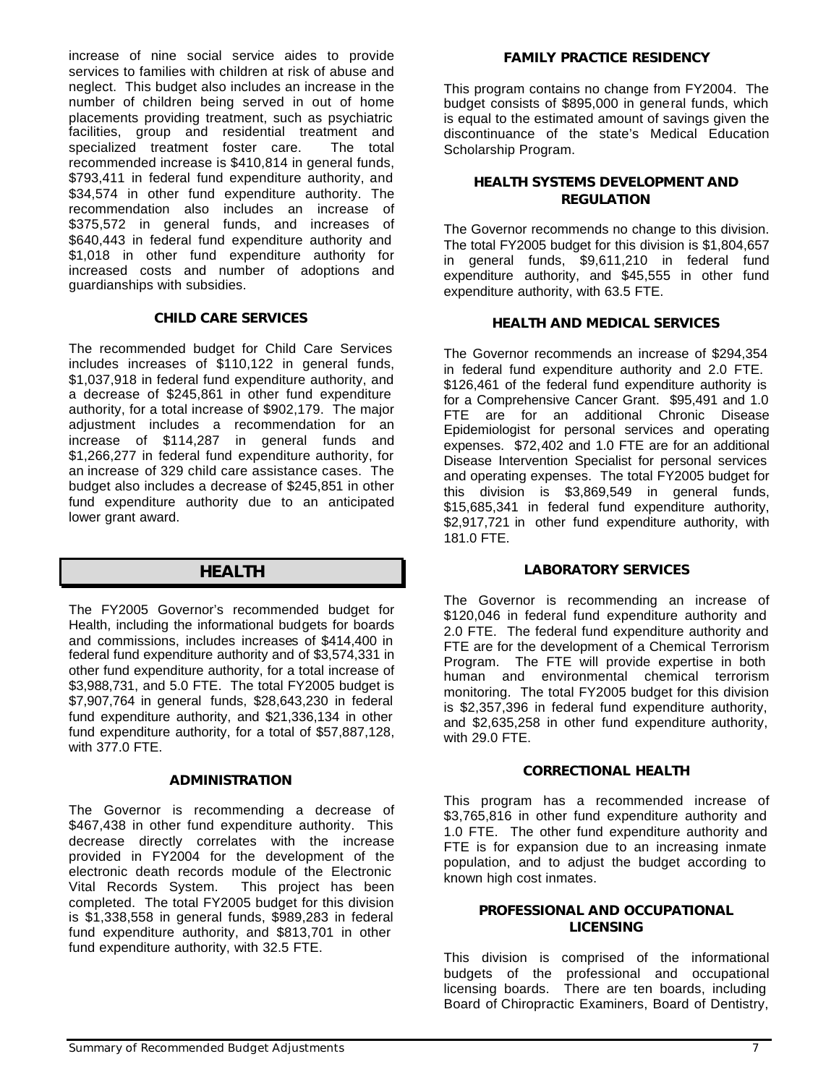increase of nine social service aides to provide services to families with children at risk of abuse and neglect. This budget also includes an increase in the number of children being served in out of home placements providing treatment, such as psychiatric facilities, group and residential treatment and specialized treatment foster care. The total recommended increase is \$410,814 in general funds, \$793,411 in federal fund expenditure authority, and \$34,574 in other fund expenditure authority. The recommendation also includes an increase of \$375,572 in general funds, and increases of \$640,443 in federal fund expenditure authority and \$1,018 in other fund expenditure authority for increased costs and number of adoptions and guardianships with subsidies.

### *CHILD CARE SERVICES*

The recommended budget for Child Care Services includes increases of \$110,122 in general funds, \$1,037,918 in federal fund expenditure authority, and a decrease of \$245,861 in other fund expenditure authority, for a total increase of \$902,179. The major adjustment includes a recommendation for an increase of \$114,287 in general funds and \$1,266,277 in federal fund expenditure authority, for an increase of 329 child care assistance cases. The budget also includes a decrease of \$245,851 in other fund expenditure authority due to an anticipated lower grant award.

# *HEALTH*

The FY2005 Governor's recommended budget for Health, including the informational budgets for boards and commissions, includes increases of \$414,400 in federal fund expenditure authority and of \$3,574,331 in other fund expenditure authority, for a total increase of \$3,988,731, and 5.0 FTE. The total FY2005 budget is \$7,907,764 in general funds, \$28,643,230 in federal fund expenditure authority, and \$21,336,134 in other fund expenditure authority, for a total of \$57,887,128, with 377.0 FTE.

### *ADMINISTRATION*

The Governor is recommending a decrease of \$467,438 in other fund expenditure authority. This decrease directly correlates with the increase provided in FY2004 for the development of the electronic death records module of the Electronic Vital Records System. This project has been completed. The total FY2005 budget for this division is \$1,338,558 in general funds, \$989,283 in federal fund expenditure authority, and \$813,701 in other fund expenditure authority, with 32.5 FTE.

### *FAMILY PRACTICE RESIDENCY*

This program contains no change from FY2004. The budget consists of \$895,000 in general funds, which is equal to the estimated amount of savings given the discontinuance of the state's Medical Education Scholarship Program.

### *HEALTH SYSTEMS DEVELOPMENT AND REGULATION*

The Governor recommends no change to this division. The total FY2005 budget for this division is \$1,804,657 in general funds, \$9,611,210 in federal fund expenditure authority, and \$45,555 in other fund expenditure authority, with 63.5 FTE.

### *HEALTH AND MEDICAL SERVICES*

The Governor recommends an increase of \$294,354 in federal fund expenditure authority and 2.0 FTE. \$126,461 of the federal fund expenditure authority is for a Comprehensive Cancer Grant. \$95,491 and 1.0 FTE are for an additional Chronic Disease Epidemiologist for personal services and operating expenses. \$72,402 and 1.0 FTE are for an additional Disease Intervention Specialist for personal services and operating expenses. The total FY2005 budget for this division is \$3,869,549 in general funds, \$15,685,341 in federal fund expenditure authority, \$2,917,721 in other fund expenditure authority, with 181.0 FTE.

### *LABORATORY SERVICES*

The Governor is recommending an increase of \$120,046 in federal fund expenditure authority and 2.0 FTE. The federal fund expenditure authority and FTE are for the development of a Chemical Terrorism Program. The FTE will provide expertise in both human and environmental chemical terrorism monitoring. The total FY2005 budget for this division is \$2,357,396 in federal fund expenditure authority, and \$2,635,258 in other fund expenditure authority, with 29.0 FTE.

### *CORRECTIONAL HEALTH*

This program has a recommended increase of \$3,765,816 in other fund expenditure authority and 1.0 FTE. The other fund expenditure authority and FTE is for expansion due to an increasing inmate population, and to adjust the budget according to known high cost inmates.

### *PROFESSIONAL AND OCCUPATIONAL LICENSING*

This division is comprised of the informational budgets of the professional and occupational licensing boards. There are ten boards, including Board of Chiropractic Examiners, Board of Dentistry,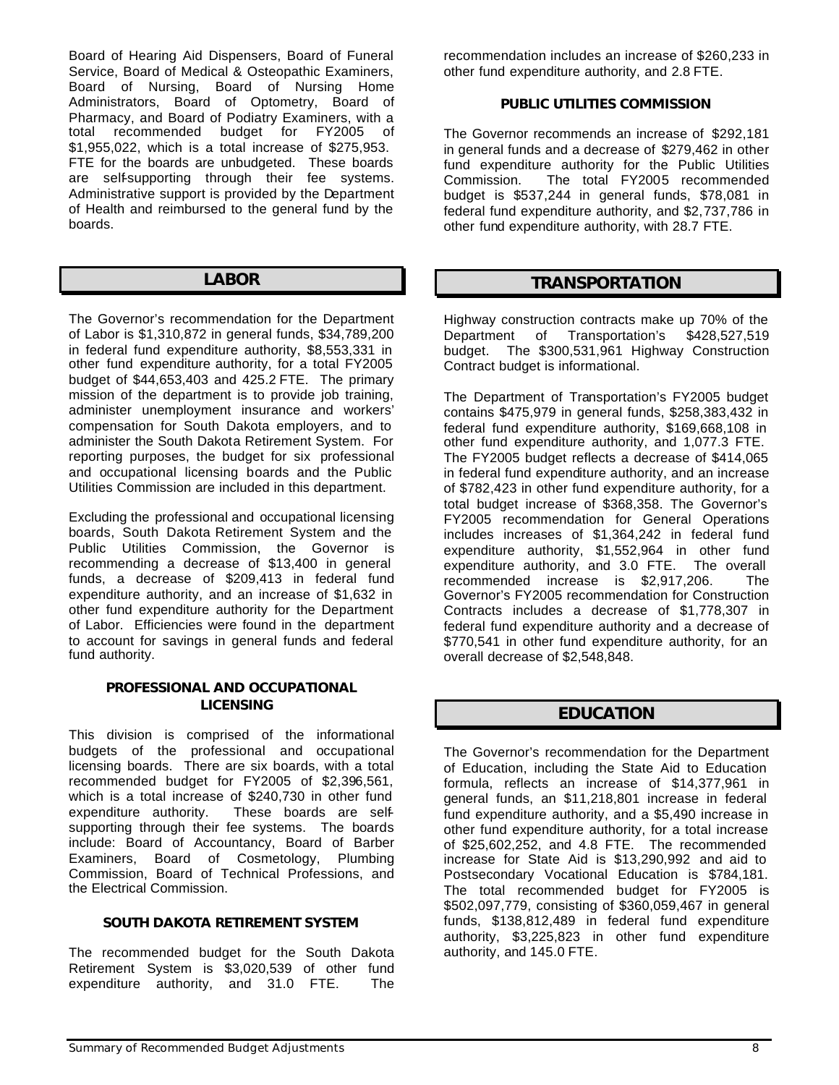Board of Hearing Aid Dispensers, Board of Funeral Service, Board of Medical & Osteopathic Examiners, Board of Nursing, Board of Nursing Home Administrators, Board of Optometry, Board of Pharmacy, and Board of Podiatry Examiners, with a total recommended budget for FY2005 of \$1,955,022, which is a total increase of \$275,953. FTE for the boards are unbudgeted. These boards are self-supporting through their fee systems. Administrative support is provided by the Department of Health and reimbursed to the general fund by the boards.

### *LABOR*

The Governor's recommendation for the Department of Labor is \$1,310,872 in general funds, \$34,789,200 in federal fund expenditure authority, \$8,553,331 in other fund expenditure authority, for a total FY2005 budget of \$44,653,403 and 425.2 FTE. The primary mission of the department is to provide job training, administer unemployment insurance and workers' compensation for South Dakota employers, and to administer the South Dakota Retirement System. For reporting purposes, the budget for six professional and occupational licensing boards and the Public Utilities Commission are included in this department.

Excluding the professional and occupational licensing boards, South Dakota Retirement System and the Public Utilities Commission, the Governor is recommending a decrease of \$13,400 in general funds, a decrease of \$209,413 in federal fund expenditure authority, and an increase of \$1,632 in other fund expenditure authority for the Department of Labor. Efficiencies were found in the department to account for savings in general funds and federal fund authority.

### *PROFESSIONAL AND OCCUPATIONAL LICENSING*

This division is comprised of the informational budgets of the professional and occupational licensing boards. There are six boards, with a total recommended budget for FY2005 of \$2,396,561, which is a total increase of \$240,730 in other fund expenditure authority. These boards are selfsupporting through their fee systems. The boards include: Board of Accountancy, Board of Barber Examiners, Board of Cosmetology, Plumbing Commission, Board of Technical Professions, and the Electrical Commission.

### *SOUTH DAKOTA RETIREMENT SYSTEM*

The recommended budget for the South Dakota Retirement System is \$3,020,539 of other fund expenditure authority, and 31.0 FTE. The recommendation includes an increase of \$260,233 in other fund expenditure authority, and 2.8 FTE.

### *PUBLIC UTILITIES COMMISSION*

The Governor recommends an increase of \$292,181 in general funds and a decrease of \$279,462 in other fund expenditure authority for the Public Utilities Commission. The total FY2005 recommended budget is \$537,244 in general funds, \$78,081 in federal fund expenditure authority, and \$2,737,786 in other fund expenditure authority, with 28.7 FTE.

### *TRANSPORTATION*

Highway construction contracts make up 70% of the Department of Transportation's \$428,527,519 budget. The \$300,531,961 Highway Construction Contract budget is informational.

The Department of Transportation's FY2005 budget contains \$475,979 in general funds, \$258,383,432 in federal fund expenditure authority, \$169,668,108 in other fund expenditure authority, and 1,077.3 FTE. The FY2005 budget reflects a decrease of \$414,065 in federal fund expenditure authority, and an increase of \$782,423 in other fund expenditure authority, for a total budget increase of \$368,358. The Governor's FY2005 recommendation for General Operations includes increases of \$1,364,242 in federal fund expenditure authority, \$1,552,964 in other fund expenditure authority, and 3.0 FTE. The overall recommended increase is \$2,917,206. The Governor's FY2005 recommendation for Construction Contracts includes a decrease of \$1,778,307 in federal fund expenditure authority and a decrease of \$770,541 in other fund expenditure authority, for an overall decrease of \$2,548,848.

### *EDUCATION*

The Governor's recommendation for the Department of Education, including the State Aid to Education formula, reflects an increase of \$14,377,961 in general funds, an \$11,218,801 increase in federal fund expenditure authority, and a \$5,490 increase in other fund expenditure authority, for a total increase of \$25,602,252, and 4.8 FTE. The recommended increase for State Aid is \$13,290,992 and aid to Postsecondary Vocational Education is \$784,181. The total recommended budget for FY2005 is \$502,097,779, consisting of \$360,059,467 in general funds, \$138,812,489 in federal fund expenditure authority, \$3,225,823 in other fund expenditure authority, and 145.0 FTE.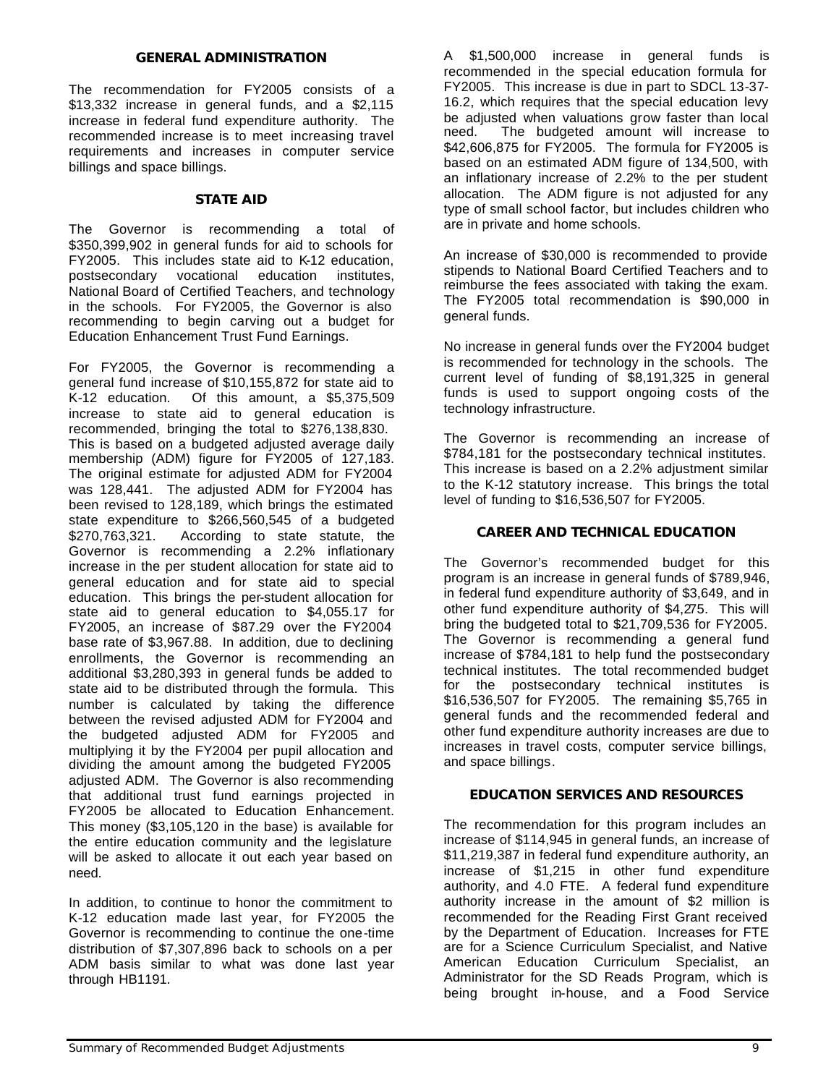### *GENERAL ADMINISTRATION*

The recommendation for FY2005 consists of a \$13,332 increase in general funds, and a \$2,115 increase in federal fund expenditure authority. The recommended increase is to meet increasing travel requirements and increases in computer service billings and space billings.

### *STATE AID*

The Governor is recommending a total of \$350,399,902 in general funds for aid to schools for FY2005. This includes state aid to K-12 education, postsecondary vocational education institutes, National Board of Certified Teachers, and technology in the schools. For FY2005, the Governor is also recommending to begin carving out a budget for Education Enhancement Trust Fund Earnings.

For FY2005, the Governor is recommending a general fund increase of \$10,155,872 for state aid to K-12 education. Of this amount, a \$5,375,509 increase to state aid to general education is recommended, bringing the total to \$276,138,830. This is based on a budgeted adjusted average daily membership (ADM) figure for FY2005 of 127,183. The original estimate for adjusted ADM for FY2004 was 128,441. The adjusted ADM for FY2004 has been revised to 128,189, which brings the estimated state expenditure to \$266,560,545 of a budgeted \$270,763,321. According to state statute, the Governor is recommending a 2.2% inflationary increase in the per student allocation for state aid to general education and for state aid to special education. This brings the per-student allocation for state aid to general education to \$4,055.17 for FY2005, an increase of \$87.29 over the FY2004 base rate of \$3,967.88. In addition, due to declining enrollments, the Governor is recommending an additional \$3,280,393 in general funds be added to state aid to be distributed through the formula. This number is calculated by taking the difference between the revised adjusted ADM for FY2004 and the budgeted adjusted ADM for FY2005 and multiplying it by the FY2004 per pupil allocation and dividing the amount among the budgeted FY2005 adjusted ADM. The Governor is also recommending that additional trust fund earnings projected in FY2005 be allocated to Education Enhancement. This money (\$3,105,120 in the base) is available for the entire education community and the legislature will be asked to allocate it out each year based on need.

In addition, to continue to honor the commitment to K-12 education made last year, for FY2005 the Governor is recommending to continue the one-time distribution of \$7,307,896 back to schools on a per ADM basis similar to what was done last year through HB1191.

A \$1,500,000 increase in general funds is recommended in the special education formula for FY2005. This increase is due in part to SDCL 13-37- 16.2, which requires that the special education levy be adjusted when valuations grow faster than local need. The budgeted amount will increase to \$42,606,875 for FY2005. The formula for FY2005 is based on an estimated ADM figure of 134,500, with an inflationary increase of 2.2% to the per student allocation. The ADM figure is not adjusted for any type of small school factor, but includes children who are in private and home schools.

An increase of \$30,000 is recommended to provide stipends to National Board Certified Teachers and to reimburse the fees associated with taking the exam. The FY2005 total recommendation is \$90,000 in general funds.

No increase in general funds over the FY2004 budget is recommended for technology in the schools. The current level of funding of \$8,191,325 in general funds is used to support ongoing costs of the technology infrastructure.

The Governor is recommending an increase of \$784,181 for the postsecondary technical institutes. This increase is based on a 2.2% adjustment similar to the K-12 statutory increase. This brings the total level of funding to \$16,536,507 for FY2005.

### *CAREER AND TECHNICAL EDUCATION*

The Governor's recommended budget for this program is an increase in general funds of \$789,946, in federal fund expenditure authority of \$3,649, and in other fund expenditure authority of \$4,275. This will bring the budgeted total to \$21,709,536 for FY2005. The Governor is recommending a general fund increase of \$784,181 to help fund the postsecondary technical institutes. The total recommended budget for the postsecondary technical institutes is \$16,536,507 for FY2005. The remaining \$5,765 in general funds and the recommended federal and other fund expenditure authority increases are due to increases in travel costs, computer service billings, and space billings.

### *EDUCATION SERVICES AND RESOURCES*

The recommendation for this program includes an increase of \$114,945 in general funds, an increase of \$11,219,387 in federal fund expenditure authority, an increase of \$1,215 in other fund expenditure authority, and 4.0 FTE. A federal fund expenditure authority increase in the amount of \$2 million is recommended for the Reading First Grant received by the Department of Education. Increases for FTE are for a Science Curriculum Specialist, and Native American Education Curriculum Specialist, an Administrator for the SD Reads Program, which is being brought in-house, and a Food Service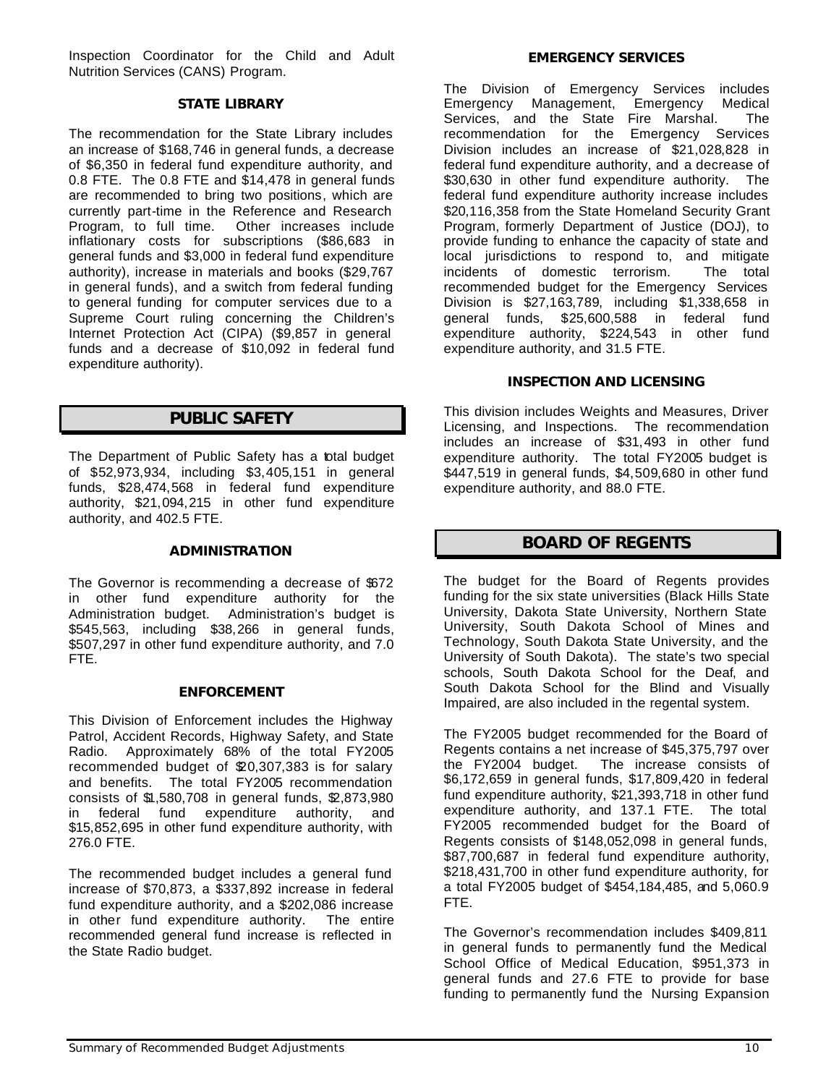Inspection Coordinator for the Child and Adult Nutrition Services (CANS) Program.

### *STATE LIBRARY*

The recommendation for the State Library includes an increase of \$168,746 in general funds, a decrease of \$6,350 in federal fund expenditure authority, and 0.8 FTE. The 0.8 FTE and \$14,478 in general funds are recommended to bring two positions, which are currently part-time in the Reference and Research Program, to full time. Other increases include inflationary costs for subscriptions (\$86,683 in general funds and \$3,000 in federal fund expenditure authority), increase in materials and books (\$29,767 in general funds), and a switch from federal funding to general funding for computer services due to a Supreme Court ruling concerning the Children's Internet Protection Act (CIPA) (\$9,857 in general funds and a decrease of \$10,092 in federal fund expenditure authority).

# *PUBLIC SAFETY*

The Department of Public Safety has a total budget of \$52,973,934, including \$3,405,151 in general funds, \$28,474,568 in federal fund expenditure authority, \$21,094,215 in other fund expenditure authority, and 402.5 FTE.

### *ADMINISTRATION*

The Governor is recommending a decrease of \$672 in other fund expenditure authority for the Administration budget. Administration's budget is \$545,563, including \$38,266 in general funds, \$507,297 in other fund expenditure authority, and 7.0 FTE.

### *ENFORCEMENT*

This Division of Enforcement includes the Highway Patrol, Accident Records, Highway Safety, and State Radio. Approximately 68% of the total FY2005 recommended budget of \$20,307,383 is for salary and benefits. The total FY2005 recommendation consists of \$1,580,708 in general funds, \$2,873,980 in federal fund expenditure authority, and \$15,852,695 in other fund expenditure authority, with 276.0 FTE.

The recommended budget includes a general fund increase of \$70,873, a \$337,892 increase in federal fund expenditure authority, and a \$202,086 increase in other fund expenditure authority. The entire recommended general fund increase is reflected in the State Radio budget.

The Division of Emergency Services includes Emergency Management, Emergency Medical Services, and the State Fire Marshal. The recommendation for the Emergency Services Division includes an increase of \$21,028,828 in federal fund expenditure authority, and a decrease of \$30,630 in other fund expenditure authority. The federal fund expenditure authority increase includes \$20,116,358 from the State Homeland Security Grant Program, formerly Department of Justice (DOJ), to provide funding to enhance the capacity of state and local jurisdictions to respond to, and mitigate incidents of domestic terrorism. The total recommended budget for the Emergency Services Division is \$27,163,789, including \$1,338,658 in general funds, \$25,600,588 in federal fund expenditure authority, \$224,543 in other fund expenditure authority, and 31.5 FTE.

### *INSPECTION AND LICENSING*

This division includes Weights and Measures, Driver Licensing, and Inspections. The recommendation includes an increase of \$31,493 in other fund expenditure authority. The total FY2005 budget is \$447,519 in general funds, \$4,509,680 in other fund expenditure authority, and 88.0 FTE.

# *BOARD OF REGENTS*

The budget for the Board of Regents provides funding for the six state universities (Black Hills State University, Dakota State University, Northern State University, South Dakota School of Mines and Technology, South Dakota State University, and the University of South Dakota). The state's two special schools, South Dakota School for the Deaf, and South Dakota School for the Blind and Visually Impaired, are also included in the regental system.

The FY2005 budget recommended for the Board of Regents contains a net increase of \$45,375,797 over the FY2004 budget. The increase consists of \$6,172,659 in general funds, \$17,809,420 in federal fund expenditure authority, \$21,393,718 in other fund expenditure authority, and 137.1 FTE. The total FY2005 recommended budget for the Board of Regents consists of \$148,052,098 in general funds, \$87,700,687 in federal fund expenditure authority, \$218,431,700 in other fund expenditure authority, for a total FY2005 budget of \$454,184,485, and 5,060.9 FTE.

The Governor's recommendation includes \$409,811 in general funds to permanently fund the Medical School Office of Medical Education, \$951,373 in general funds and 27.6 FTE to provide for base funding to permanently fund the Nursing Expansion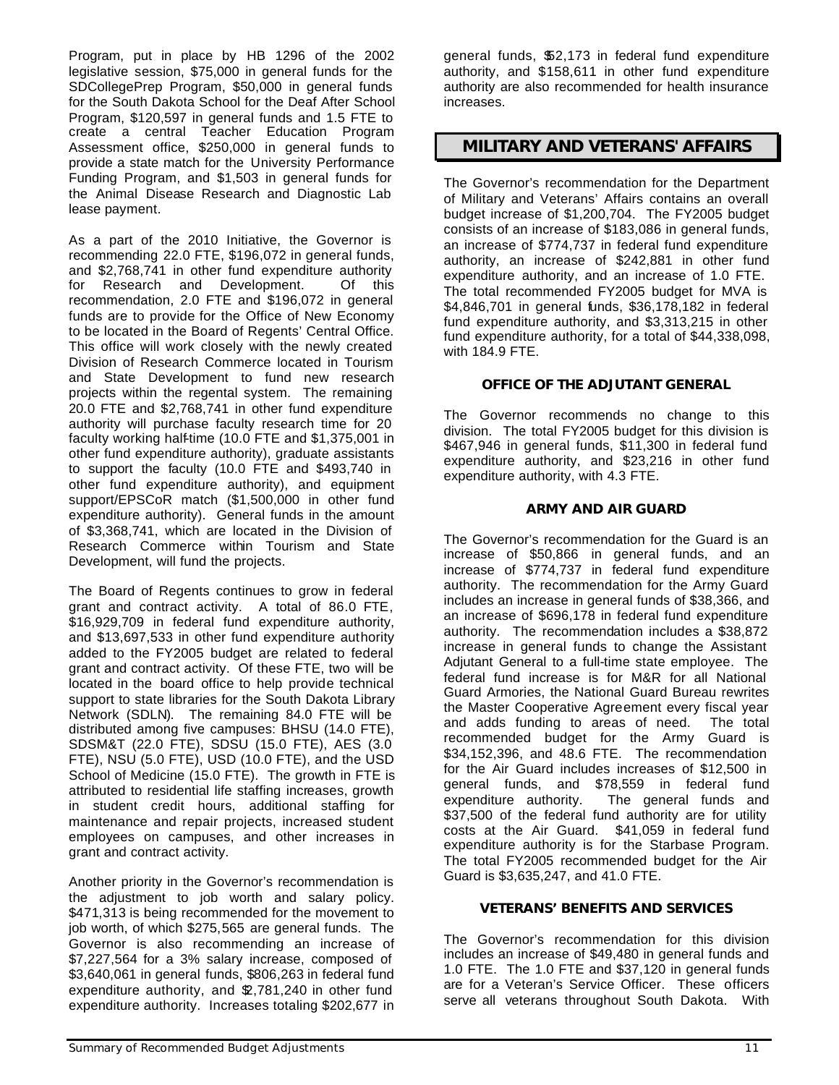Program, put in place by HB 1296 of the 2002 legislative session, \$75,000 in general funds for the SDCollegePrep Program, \$50,000 in general funds for the South Dakota School for the Deaf After School Program, \$120,597 in general funds and 1.5 FTE to create a central Teacher Education Program Assessment office, \$250,000 in general funds to provide a state match for the University Performance Funding Program, and \$1,503 in general funds for the Animal Disease Research and Diagnostic Lab lease payment.

As a part of the 2010 Initiative, the Governor is recommending 22.0 FTE, \$196,072 in general funds, and \$2,768,741 in other fund expenditure authority for Research and Development. Of this recommendation, 2.0 FTE and \$196,072 in general funds are to provide for the Office of New Economy to be located in the Board of Regents' Central Office. This office will work closely with the newly created Division of Research Commerce located in Tourism and State Development to fund new research projects within the regental system. The remaining 20.0 FTE and \$2,768,741 in other fund expenditure authority will purchase faculty research time for 20 faculty working half-time (10.0 FTE and \$1,375,001 in other fund expenditure authority), graduate assistants to support the faculty (10.0 FTE and \$493,740 in other fund expenditure authority), and equipment support/EPSCoR match (\$1,500,000 in other fund expenditure authority). General funds in the amount of \$3,368,741, which are located in the Division of Research Commerce within Tourism and State Development, will fund the projects.

The Board of Regents continues to grow in federal grant and contract activity. A total of 86.0 FTE, \$16,929,709 in federal fund expenditure authority, and \$13,697,533 in other fund expenditure authority added to the FY2005 budget are related to federal grant and contract activity. Of these FTE, two will be located in the board office to help provide technical support to state libraries for the South Dakota Library Network (SDLN). The remaining 84.0 FTE will be distributed among five campuses: BHSU (14.0 FTE), SDSM&T (22.0 FTE), SDSU (15.0 FTE), AES (3.0 FTE), NSU (5.0 FTE), USD (10.0 FTE), and the USD School of Medicine (15.0 FTE). The growth in FTE is attributed to residential life staffing increases, growth in student credit hours, additional staffing for maintenance and repair projects, increased student employees on campuses, and other increases in grant and contract activity.

Another priority in the Governor's recommendation is the adjustment to job worth and salary policy. \$471,313 is being recommended for the movement to job worth, of which \$275,565 are general funds. The Governor is also recommending an increase of \$7,227,564 for a 3% salary increase, composed of \$3,640,061 in general funds, \$806,263 in federal fund expenditure authority, and \$2,781,240 in other fund expenditure authority. Increases totaling \$202,677 in

general funds, \$52,173 in federal fund expenditure authority, and \$158,611 in other fund expenditure authority are also recommended for health insurance increases.

### *MILITARY AND VETERANS' AFFAIRS*

The Governor's recommendation for the Department of Military and Veterans' Affairs contains an overall budget increase of \$1,200,704. The FY2005 budget consists of an increase of \$183,086 in general funds, an increase of \$774,737 in federal fund expenditure authority, an increase of \$242,881 in other fund expenditure authority, and an increase of 1.0 FTE. The total recommended FY2005 budget for MVA is \$4,846,701 in general funds, \$36,178,182 in federal fund expenditure authority, and \$3,313,215 in other fund expenditure authority, for a total of \$44,338,098, with 184.9 FTE.

### *OFFICE OF THE ADJUTANT GENERAL*

The Governor recommends no change to this division. The total FY2005 budget for this division is \$467,946 in general funds, \$11,300 in federal fund expenditure authority, and \$23,216 in other fund expenditure authority, with 4.3 FTE.

### *ARMY AND AIR GUARD*

The Governor's recommendation for the Guard is an increase of \$50,866 in general funds, and an increase of \$774,737 in federal fund expenditure authority. The recommendation for the Army Guard includes an increase in general funds of \$38,366, and an increase of \$696,178 in federal fund expenditure authority. The recommendation includes a \$38,872 increase in general funds to change the Assistant Adjutant General to a full-time state employee. The federal fund increase is for M&R for all National Guard Armories, the National Guard Bureau rewrites the Master Cooperative Agreement every fiscal year and adds funding to areas of need. The total recommended budget for the Army Guard is \$34,152,396, and 48.6 FTE. The recommendation for the Air Guard includes increases of \$12,500 in general funds, and \$78,559 in federal fund expenditure authority. The general funds and \$37,500 of the federal fund authority are for utility costs at the Air Guard. \$41,059 in federal fund expenditure authority is for the Starbase Program. The total FY2005 recommended budget for the Air Guard is \$3,635,247, and 41.0 FTE.

### *VETERANS' BENEFITS AND SERVICES*

The Governor's recommendation for this division includes an increase of \$49,480 in general funds and 1.0 FTE. The 1.0 FTE and \$37,120 in general funds are for a Veteran's Service Officer. These officers serve all veterans throughout South Dakota. With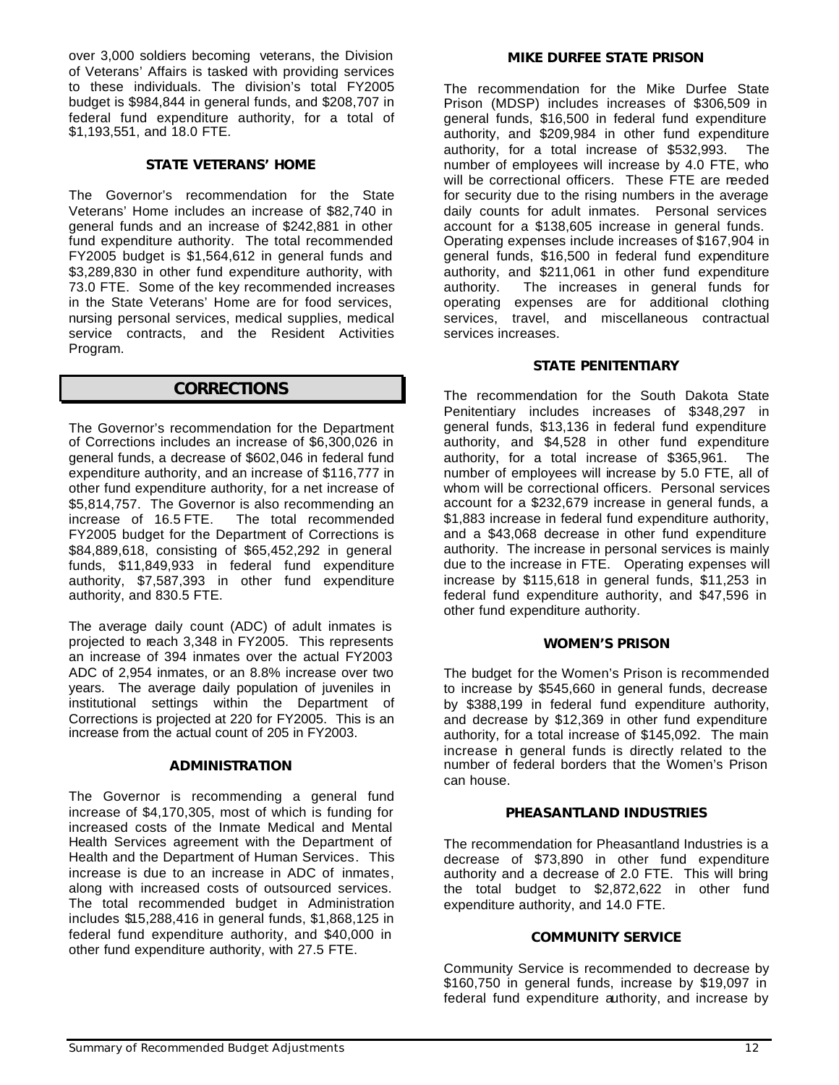over 3,000 soldiers becoming veterans, the Division of Veterans' Affairs is tasked with providing services to these individuals. The division's total FY2005 budget is \$984,844 in general funds, and \$208,707 in federal fund expenditure authority, for a total of \$1,193,551, and 18.0 FTE.

### *STATE VETERANS' HOME*

The Governor's recommendation for the State Veterans' Home includes an increase of \$82,740 in general funds and an increase of \$242,881 in other fund expenditure authority. The total recommended FY2005 budget is \$1,564,612 in general funds and \$3,289,830 in other fund expenditure authority, with 73.0 FTE. Some of the key recommended increases in the State Veterans' Home are for food services, nursing personal services, medical supplies, medical service contracts, and the Resident Activities Program.

### *CORRECTIONS*

The Governor's recommendation for the Department of Corrections includes an increase of \$6,300,026 in general funds, a decrease of \$602,046 in federal fund expenditure authority, and an increase of \$116,777 in other fund expenditure authority, for a net increase of \$5,814,757. The Governor is also recommending an increase of 16.5 FTE. The total recommended The total recommended FY2005 budget for the Department of Corrections is \$84,889,618, consisting of \$65,452,292 in general funds, \$11,849,933 in federal fund expenditure authority, \$7,587,393 in other fund expenditure authority, and 830.5 FTE.

The average daily count (ADC) of adult inmates is projected to reach 3,348 in FY2005. This represents an increase of 394 inmates over the actual FY2003 ADC of 2,954 inmates, or an 8.8% increase over two years. The average daily population of juveniles in institutional settings within the Department of Corrections is projected at 220 for FY2005. This is an increase from the actual count of 205 in FY2003.

### *ADMINISTRATION*

The Governor is recommending a general fund increase of \$4,170,305, most of which is funding for increased costs of the Inmate Medical and Mental Health Services agreement with the Department of Health and the Department of Human Services. This increase is due to an increase in ADC of inmates, along with increased costs of outsourced services. The total recommended budget in Administration includes \$15,288,416 in general funds, \$1,868,125 in federal fund expenditure authority, and \$40,000 in other fund expenditure authority, with 27.5 FTE.

### *MIKE DURFEE STATE PRISON*

The recommendation for the Mike Durfee State Prison (MDSP) includes increases of \$306,509 in general funds, \$16,500 in federal fund expenditure authority, and \$209,984 in other fund expenditure authority, for a total increase of \$532,993. The number of employees will increase by 4.0 FTE, who will be correctional officers. These FTE are reeded for security due to the rising numbers in the average daily counts for adult inmates. Personal services account for a \$138,605 increase in general funds. Operating expenses include increases of \$167,904 in general funds, \$16,500 in federal fund expenditure authority, and \$211,061 in other fund expenditure authority. The increases in general funds for operating expenses are for additional clothing services, travel, and miscellaneous contractual services increases.

### *STATE PENITENTIARY*

The recommendation for the South Dakota State Penitentiary includes increases of \$348,297 in general funds, \$13,136 in federal fund expenditure authority, and \$4,528 in other fund expenditure authority, for a total increase of \$365,961. The number of employees will increase by 5.0 FTE, all of whom will be correctional officers. Personal services account for a \$232,679 increase in general funds, a \$1,883 increase in federal fund expenditure authority, and a \$43,068 decrease in other fund expenditure authority. The increase in personal services is mainly due to the increase in FTE. Operating expenses will increase by \$115,618 in general funds, \$11,253 in federal fund expenditure authority, and \$47,596 in other fund expenditure authority.

### *WOMEN'S PRISON*

The budget for the Women's Prison is recommended to increase by \$545,660 in general funds, decrease by \$388,199 in federal fund expenditure authority, and decrease by \$12,369 in other fund expenditure authority, for a total increase of \$145,092. The main increase in general funds is directly related to the number of federal borders that the Women's Prison can house.

### *PHEASANTLAND INDUSTRIES*

The recommendation for Pheasantland Industries is a decrease of \$73,890 in other fund expenditure authority and a decrease of 2.0 FTE. This will bring the total budget to \$2,872,622 in other fund expenditure authority, and 14.0 FTE.

### *COMMUNITY SERVICE*

Community Service is recommended to decrease by \$160,750 in general funds, increase by \$19,097 in federal fund expenditure authority, and increase by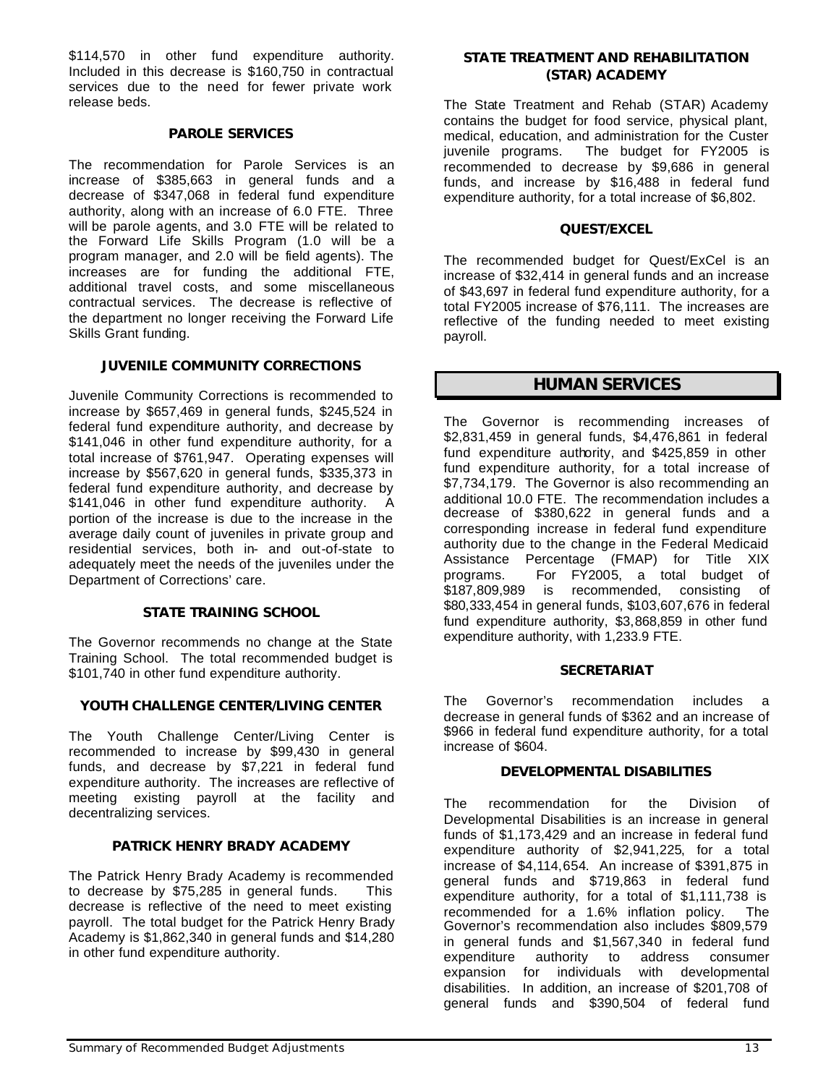\$114,570 in other fund expenditure authority. Included in this decrease is \$160,750 in contractual services due to the need for fewer private work release beds.

### *PAROLE SERVICES*

The recommendation for Parole Services is an increase of \$385,663 in general funds and a decrease of \$347,068 in federal fund expenditure authority, along with an increase of 6.0 FTE. Three will be parole agents, and 3.0 FTE will be related to the Forward Life Skills Program (1.0 will be a program manager, and 2.0 will be field agents). The increases are for funding the additional FTE, additional travel costs, and some miscellaneous contractual services. The decrease is reflective of the department no longer receiving the Forward Life Skills Grant funding.

### *JUVENILE COMMUNITY CORRECTIONS*

Juvenile Community Corrections is recommended to increase by \$657,469 in general funds, \$245,524 in federal fund expenditure authority, and decrease by \$141,046 in other fund expenditure authority, for a total increase of \$761,947. Operating expenses will increase by \$567,620 in general funds, \$335,373 in federal fund expenditure authority, and decrease by \$141,046 in other fund expenditure authority. A portion of the increase is due to the increase in the average daily count of juveniles in private group and residential services, both in- and out-of-state to adequately meet the needs of the juveniles under the Department of Corrections' care.

### *STATE TRAINING SCHOOL*

The Governor recommends no change at the State Training School. The total recommended budget is \$101,740 in other fund expenditure authority.

### *YOUTH CHALLENGE CENTER/LIVING CENTER*

The Youth Challenge Center/Living Center is recommended to increase by \$99,430 in general funds, and decrease by \$7,221 in federal fund expenditure authority. The increases are reflective of meeting existing payroll at the facility and decentralizing services.

### *PATRICK HENRY BRADY ACADEMY*

The Patrick Henry Brady Academy is recommended to decrease by \$75,285 in general funds. This decrease is reflective of the need to meet existing payroll. The total budget for the Patrick Henry Brady Academy is \$1,862,340 in general funds and \$14,280 in other fund expenditure authority.

### *STATE TREATMENT AND REHABILITATION (STAR) ACADEMY*

The State Treatment and Rehab (STAR) Academy contains the budget for food service, physical plant, medical, education, and administration for the Custer juvenile programs. The budget for FY2005 is recommended to decrease by \$9,686 in general funds, and increase by \$16,488 in federal fund expenditure authority, for a total increase of \$6,802.

### *QUEST/EXCEL*

The recommended budget for Quest/ExCel is an increase of \$32,414 in general funds and an increase of \$43,697 in federal fund expenditure authority, for a total FY2005 increase of \$76,111. The increases are reflective of the funding needed to meet existing payroll.

### *HUMAN SERVICES*

The Governor is recommending increases of \$2,831,459 in general funds, \$4,476,861 in federal fund expenditure authority, and \$425,859 in other fund expenditure authority, for a total increase of \$7,734,179. The Governor is also recommending an additional 10.0 FTE. The recommendation includes a decrease of \$380,622 in general funds and a corresponding increase in federal fund expenditure authority due to the change in the Federal Medicaid Assistance Percentage (FMAP) for Title XIX programs. For FY2005, a total budget of \$187,809,989 is recommended, consisting of \$80,333,454 in general funds, \$103,607,676 in federal fund expenditure authority, \$3,868,859 in other fund expenditure authority, with 1,233.9 FTE.

### *SECRETARIAT*

The Governor's recommendation includes a decrease in general funds of \$362 and an increase of \$966 in federal fund expenditure authority, for a total increase of \$604.

### *DEVELOPMENTAL DISABILITIES*

The recommendation for the Division of Developmental Disabilities is an increase in general funds of \$1,173,429 and an increase in federal fund expenditure authority of \$2,941,225, for a total increase of \$4,114,654. An increase of \$391,875 in general funds and \$719,863 in federal fund expenditure authority, for a total of \$1,111,738 is recommended for a 1.6% inflation policy. The Governor's recommendation also includes \$809,579 in general funds and \$1,567,340 in federal fund expenditure authority to address consumer expansion for individuals with developmental disabilities. In addition, an increase of \$201,708 of general funds and \$390,504 of federal fund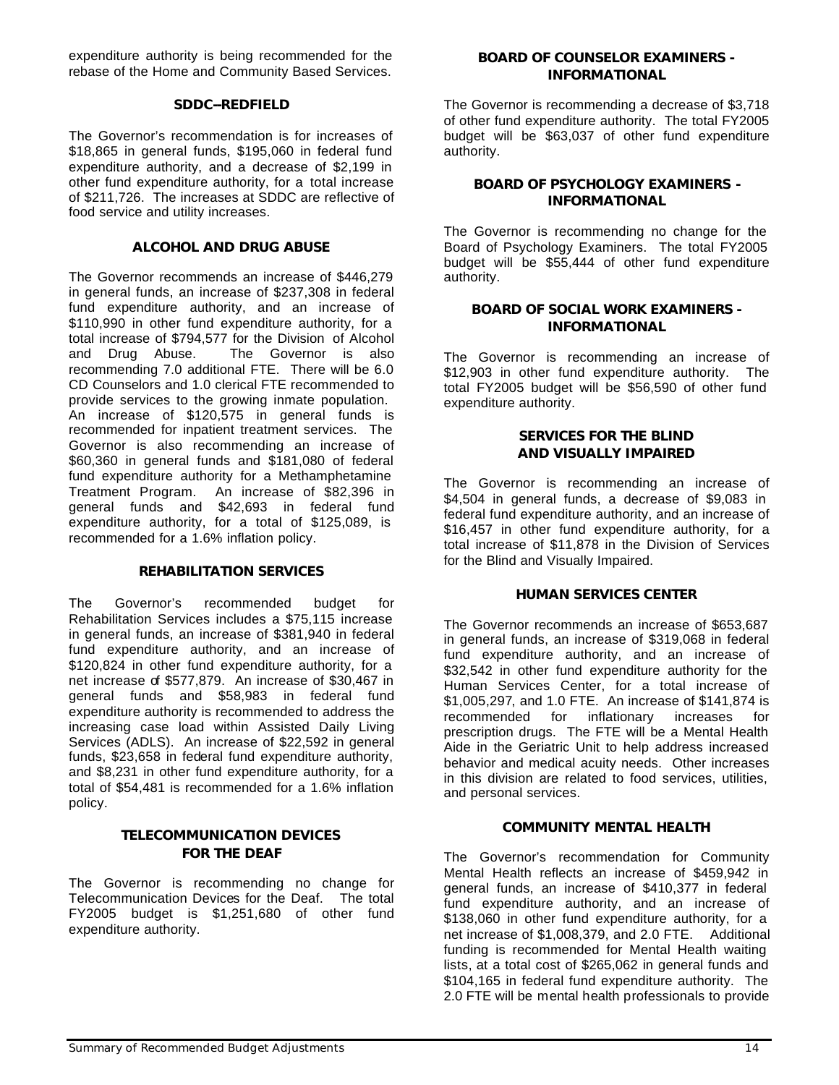expenditure authority is being recommended for the rebase of the Home and Community Based Services.

### *SDDC--REDFIELD*

The Governor's recommendation is for increases of \$18,865 in general funds, \$195,060 in federal fund expenditure authority, and a decrease of \$2,199 in other fund expenditure authority, for a total increase of \$211,726. The increases at SDDC are reflective of food service and utility increases.

### *ALCOHOL AND DRUG ABUSE*

The Governor recommends an increase of \$446,279 in general funds, an increase of \$237,308 in federal fund expenditure authority, and an increase of \$110,990 in other fund expenditure authority, for a total increase of \$794,577 for the Division of Alcohol and Drug Abuse. The Governor is also recommending 7.0 additional FTE. There will be 6.0 CD Counselors and 1.0 clerical FTE recommended to provide services to the growing inmate population. An increase of \$120,575 in general funds is recommended for inpatient treatment services. The Governor is also recommending an increase of \$60,360 in general funds and \$181,080 of federal fund expenditure authority for a Methamphetamine Treatment Program. An increase of \$82,396 in general funds and \$42,693 in federal fund expenditure authority, for a total of \$125,089, is recommended for a 1.6% inflation policy.

### *REHABILITATION SERVICES*

The Governor's recommended budget for Rehabilitation Services includes a \$75,115 increase in general funds, an increase of \$381,940 in federal fund expenditure authority, and an increase of \$120,824 in other fund expenditure authority, for a net increase of \$577,879. An increase of \$30,467 in general funds and \$58,983 in federal fund expenditure authority is recommended to address the increasing case load within Assisted Daily Living Services (ADLS). An increase of \$22,592 in general funds, \$23,658 in federal fund expenditure authority, and \$8,231 in other fund expenditure authority, for a total of \$54,481 is recommended for a 1.6% inflation policy.

### *TELECOMMUNICATION DEVICES FOR THE DEAF*

The Governor is recommending no change for Telecommunication Devices for the Deaf. The total FY2005 budget is \$1,251,680 of other fund expenditure authority.

### *BOARD OF COUNSELOR EXAMINERS - INFORMATIONAL*

The Governor is recommending a decrease of \$3,718 of other fund expenditure authority. The total FY2005 budget will be \$63,037 of other fund expenditure authority.

### *BOARD OF PSYCHOLOGY EXAMINERS - INFORMATIONAL*

The Governor is recommending no change for the Board of Psychology Examiners. The total FY2005 budget will be \$55,444 of other fund expenditure authority.

### *BOARD OF SOCIAL WORK EXAMINERS - INFORMATIONAL*

The Governor is recommending an increase of \$12,903 in other fund expenditure authority. The total FY2005 budget will be \$56,590 of other fund expenditure authority.

### *SERVICES FOR THE BLIND AND VISUALLY IMPAIRED*

The Governor is recommending an increase of \$4,504 in general funds, a decrease of \$9,083 in federal fund expenditure authority, and an increase of \$16,457 in other fund expenditure authority, for a total increase of \$11,878 in the Division of Services for the Blind and Visually Impaired.

### *HUMAN SERVICES CENTER*

The Governor recommends an increase of \$653,687 in general funds, an increase of \$319,068 in federal fund expenditure authority, and an increase of \$32,542 in other fund expenditure authority for the Human Services Center, for a total increase of \$1,005,297, and 1.0 FTE. An increase of \$141,874 is recommended for inflationary increases for prescription drugs. The FTE will be a Mental Health Aide in the Geriatric Unit to help address increased behavior and medical acuity needs. Other increases in this division are related to food services, utilities, and personal services.

### *COMMUNITY MENTAL HEALTH*

The Governor's recommendation for Community Mental Health reflects an increase of \$459,942 in general funds, an increase of \$410,377 in federal fund expenditure authority, and an increase of \$138,060 in other fund expenditure authority, for a net increase of \$1,008,379, and 2.0 FTE. Additional funding is recommended for Mental Health waiting lists, at a total cost of \$265,062 in general funds and \$104,165 in federal fund expenditure authority. The 2.0 FTE will be mental health professionals to provide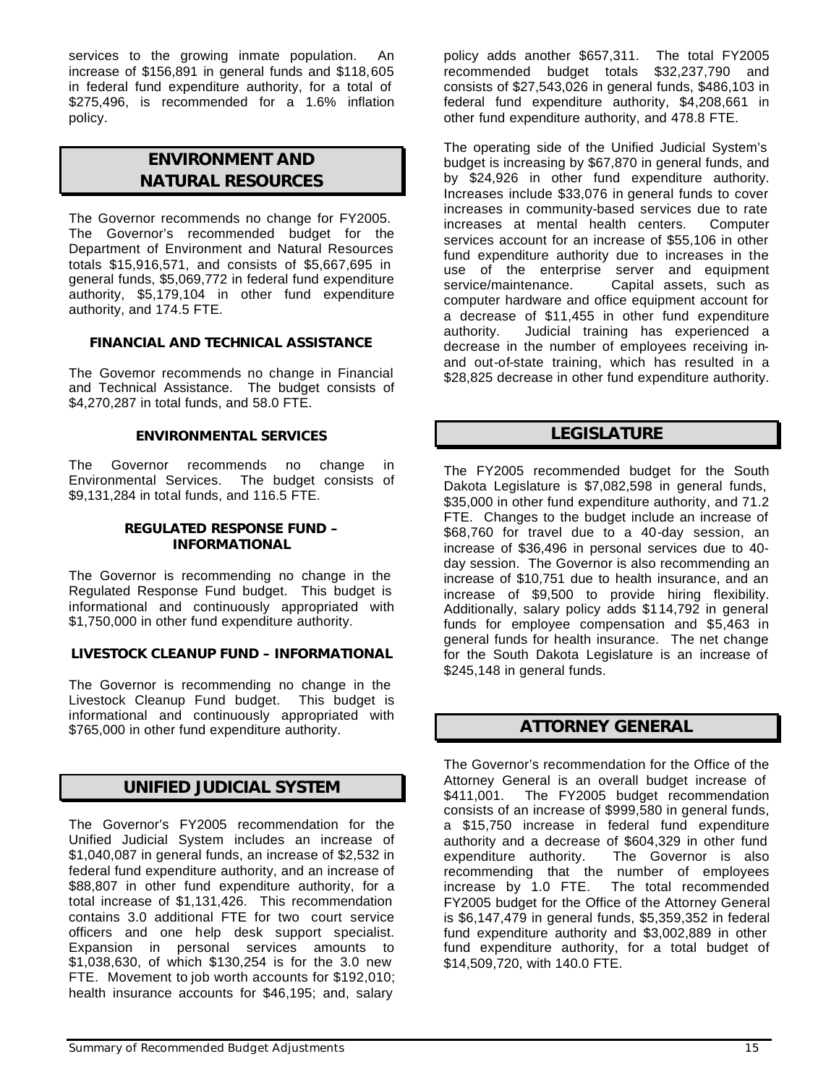services to the growing inmate population. An increase of \$156,891 in general funds and \$118,605 in federal fund expenditure authority, for a total of \$275,496, is recommended for a 1.6% inflation policy.

# *ENVIRONMENT AND NATURAL RESOURCES*

The Governor recommends no change for FY2005. The Governor's recommended budget for the Department of Environment and Natural Resources totals \$15,916,571, and consists of \$5,667,695 in general funds, \$5,069,772 in federal fund expenditure authority, \$5,179,104 in other fund expenditure authority, and 174.5 FTE.

### *FINANCIAL AND TECHNICAL ASSISTANCE*

The Governor recommends no change in Financial and Technical Assistance. The budget consists of \$4,270,287 in total funds, and 58.0 FTE.

### *ENVIRONMENTAL SERVICES*

The Governor recommends no change in Environmental Services. The budget consists of \$9,131,284 in total funds, and 116.5 FTE.

### *REGULATED RESPONSE FUND – INFORMATIONAL*

The Governor is recommending no change in the Regulated Response Fund budget. This budget is informational and continuously appropriated with \$1,750,000 in other fund expenditure authority.

### *LIVESTOCK CLEANUP FUND – INFORMATIONAL*

The Governor is recommending no change in the Livestock Cleanup Fund budget. This budget is informational and continuously appropriated with \$765,000 in other fund expenditure authority.

# *UNIFIED JUDICIAL SYSTEM*

The Governor's FY2005 recommendation for the Unified Judicial System includes an increase of \$1,040,087 in general funds, an increase of \$2,532 in federal fund expenditure authority, and an increase of \$88,807 in other fund expenditure authority, for a total increase of \$1,131,426. This recommendation contains 3.0 additional FTE for two court service officers and one help desk support specialist. Expansion in personal services amounts to \$1,038,630, of which \$130,254 is for the 3.0 new FTE. Movement to job worth accounts for \$192,010; health insurance accounts for \$46,195; and, salary

policy adds another \$657,311. The total FY2005 recommended budget totals \$32,237,790 and consists of \$27,543,026 in general funds, \$486,103 in federal fund expenditure authority, \$4,208,661 in other fund expenditure authority, and 478.8 FTE.

The operating side of the Unified Judicial System's budget is increasing by \$67,870 in general funds, and by \$24,926 in other fund expenditure authority. Increases include \$33,076 in general funds to cover increases in community-based services due to rate increases at mental health centers. Computer services account for an increase of \$55,106 in other fund expenditure authority due to increases in the use of the enterprise server and equipment service/maintenance. Capital assets, such as computer hardware and office equipment account for a decrease of \$11,455 in other fund expenditure authority. Judicial training has experienced a decrease in the number of employees receiving inand out-of-state training, which has resulted in a \$28,825 decrease in other fund expenditure authority.

# *LEGISLATURE*

The FY2005 recommended budget for the South Dakota Legislature is \$7,082,598 in general funds, \$35,000 in other fund expenditure authority, and 71.2 FTE. Changes to the budget include an increase of \$68,760 for travel due to a 40-day session, an increase of \$36,496 in personal services due to 40 day session. The Governor is also recommending an increase of \$10,751 due to health insurance, and an increase of \$9,500 to provide hiring flexibility. Additionally, salary policy adds \$114,792 in general funds for employee compensation and \$5,463 in general funds for health insurance. The net change for the South Dakota Legislature is an increase of \$245,148 in general funds.

# *ATTORNEY GENERAL*

The Governor's recommendation for the Office of the Attorney General is an overall budget increase of \$411,001. The FY2005 budget recommendation consists of an increase of \$999,580 in general funds, a \$15,750 increase in federal fund expenditure authority and a decrease of \$604,329 in other fund expenditure authority. The Governor is also recommending that the number of employees increase by 1.0 FTE. The total recommended FY2005 budget for the Office of the Attorney General is \$6,147,479 in general funds, \$5,359,352 in federal fund expenditure authority and \$3,002,889 in other fund expenditure authority, for a total budget of \$14,509,720, with 140.0 FTE.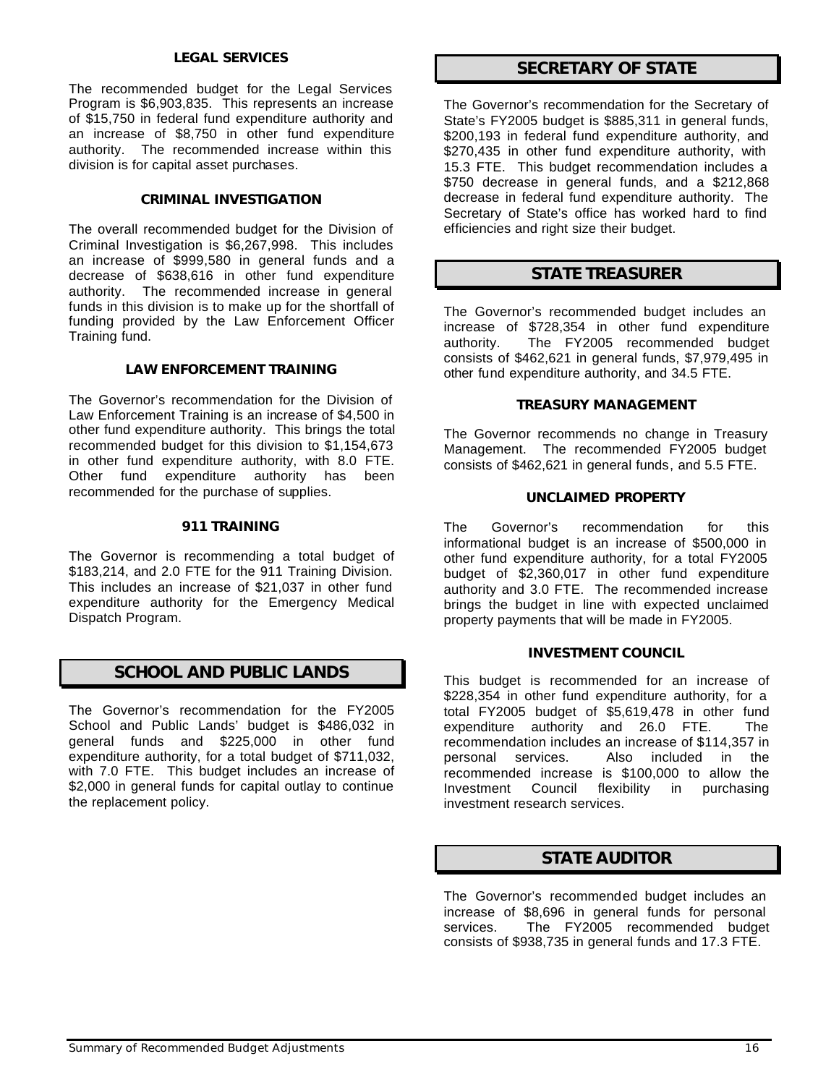### *LEGAL SERVICES*

The recommended budget for the Legal Services Program is \$6,903,835. This represents an increase of \$15,750 in federal fund expenditure authority and an increase of \$8,750 in other fund expenditure authority. The recommended increase within this division is for capital asset purchases.

### *CRIMINAL INVESTIGATION*

The overall recommended budget for the Division of Criminal Investigation is \$6,267,998. This includes an increase of \$999,580 in general funds and a decrease of \$638,616 in other fund expenditure authority. The recommended increase in general funds in this division is to make up for the shortfall of funding provided by the Law Enforcement Officer Training fund.

### *LAW ENFORCEMENT TRAINING*

The Governor's recommendation for the Division of Law Enforcement Training is an increase of \$4,500 in other fund expenditure authority. This brings the total recommended budget for this division to \$1,154,673 in other fund expenditure authority, with 8.0 FTE. Other fund expenditure authority has been recommended for the purchase of supplies.

### *911 TRAINING*

The Governor is recommending a total budget of \$183,214, and 2.0 FTE for the 911 Training Division. This includes an increase of \$21,037 in other fund expenditure authority for the Emergency Medical Dispatch Program.

# *SCHOOL AND PUBLIC LANDS*

The Governor's recommendation for the FY2005 School and Public Lands' budget is \$486,032 in general funds and \$225,000 in other fund expenditure authority, for a total budget of \$711,032, with 7.0 FTE. This budget includes an increase of \$2,000 in general funds for capital outlay to continue the replacement policy.

# *SECRETARY OF STATE*

The Governor's recommendation for the Secretary of State's FY2005 budget is \$885,311 in general funds, \$200,193 in federal fund expenditure authority, and \$270,435 in other fund expenditure authority, with 15.3 FTE. This budget recommendation includes a \$750 decrease in general funds, and a \$212,868 decrease in federal fund expenditure authority. The Secretary of State's office has worked hard to find efficiencies and right size their budget.

### *STATE TREASURER*

The Governor's recommended budget includes an increase of \$728,354 in other fund expenditure authority. The FY2005 recommended budget consists of \$462,621 in general funds, \$7,979,495 in other fund expenditure authority, and 34.5 FTE.

### *TREASURY MANAGEMENT*

The Governor recommends no change in Treasury Management. The recommended FY2005 budget consists of \$462,621 in general funds, and 5.5 FTE.

### *UNCLAIMED PROPERTY*

The Governor's recommendation for this informational budget is an increase of \$500,000 in other fund expenditure authority, for a total FY2005 budget of \$2,360,017 in other fund expenditure authority and 3.0 FTE. The recommended increase brings the budget in line with expected unclaimed property payments that will be made in FY2005.

### *INVESTMENT COUNCIL*

This budget is recommended for an increase of \$228,354 in other fund expenditure authority, for a total FY2005 budget of \$5,619,478 in other fund expenditure authority and 26.0 FTE. The recommendation includes an increase of \$114,357 in personal services. Also included in the recommended increase is \$100,000 to allow the Investment Council flexibility in purchasing investment research services.

# *STATE AUDITOR*

The Governor's recommended budget includes an increase of \$8,696 in general funds for personal services. The FY2005 recommended budget consists of \$938,735 in general funds and 17.3 FTE.